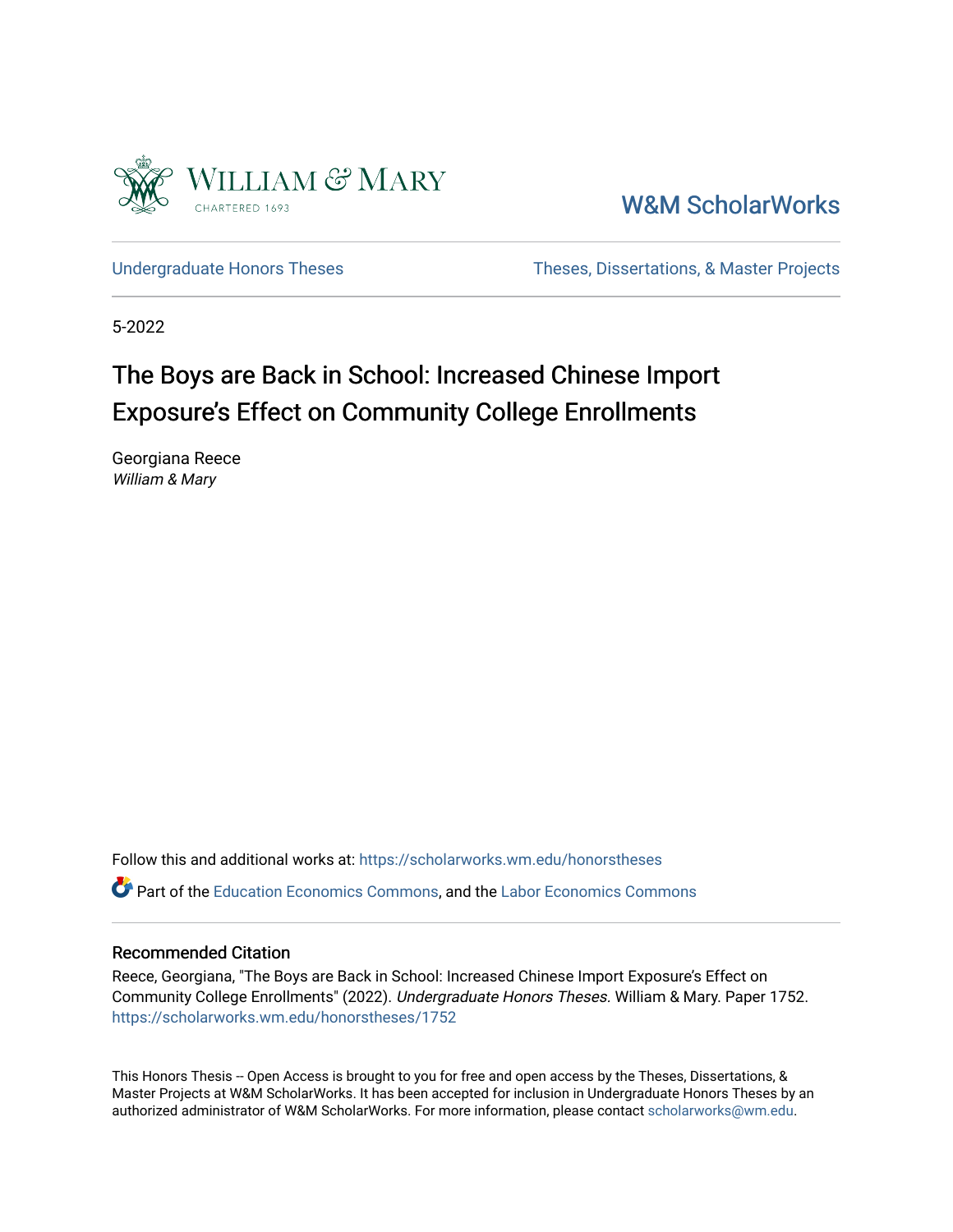

[W&M ScholarWorks](https://scholarworks.wm.edu/) 

[Undergraduate Honors Theses](https://scholarworks.wm.edu/honorstheses) Theses Theses, Dissertations, & Master Projects

5-2022

# The Boys are Back in School: Increased Chinese Import Exposure's Effect on Community College Enrollments

Georgiana Reece William & Mary

Follow this and additional works at: [https://scholarworks.wm.edu/honorstheses](https://scholarworks.wm.edu/honorstheses?utm_source=scholarworks.wm.edu%2Fhonorstheses%2F1752&utm_medium=PDF&utm_campaign=PDFCoverPages)  Part of the [Education Economics Commons,](http://network.bepress.com/hgg/discipline/1262?utm_source=scholarworks.wm.edu%2Fhonorstheses%2F1752&utm_medium=PDF&utm_campaign=PDFCoverPages) and the [Labor Economics Commons](http://network.bepress.com/hgg/discipline/349?utm_source=scholarworks.wm.edu%2Fhonorstheses%2F1752&utm_medium=PDF&utm_campaign=PDFCoverPages) 

#### Recommended Citation

Reece, Georgiana, "The Boys are Back in School: Increased Chinese Import Exposure's Effect on Community College Enrollments" (2022). Undergraduate Honors Theses. William & Mary. Paper 1752. [https://scholarworks.wm.edu/honorstheses/1752](https://scholarworks.wm.edu/honorstheses/1752?utm_source=scholarworks.wm.edu%2Fhonorstheses%2F1752&utm_medium=PDF&utm_campaign=PDFCoverPages)

This Honors Thesis -- Open Access is brought to you for free and open access by the Theses, Dissertations, & Master Projects at W&M ScholarWorks. It has been accepted for inclusion in Undergraduate Honors Theses by an authorized administrator of W&M ScholarWorks. For more information, please contact [scholarworks@wm.edu](mailto:scholarworks@wm.edu).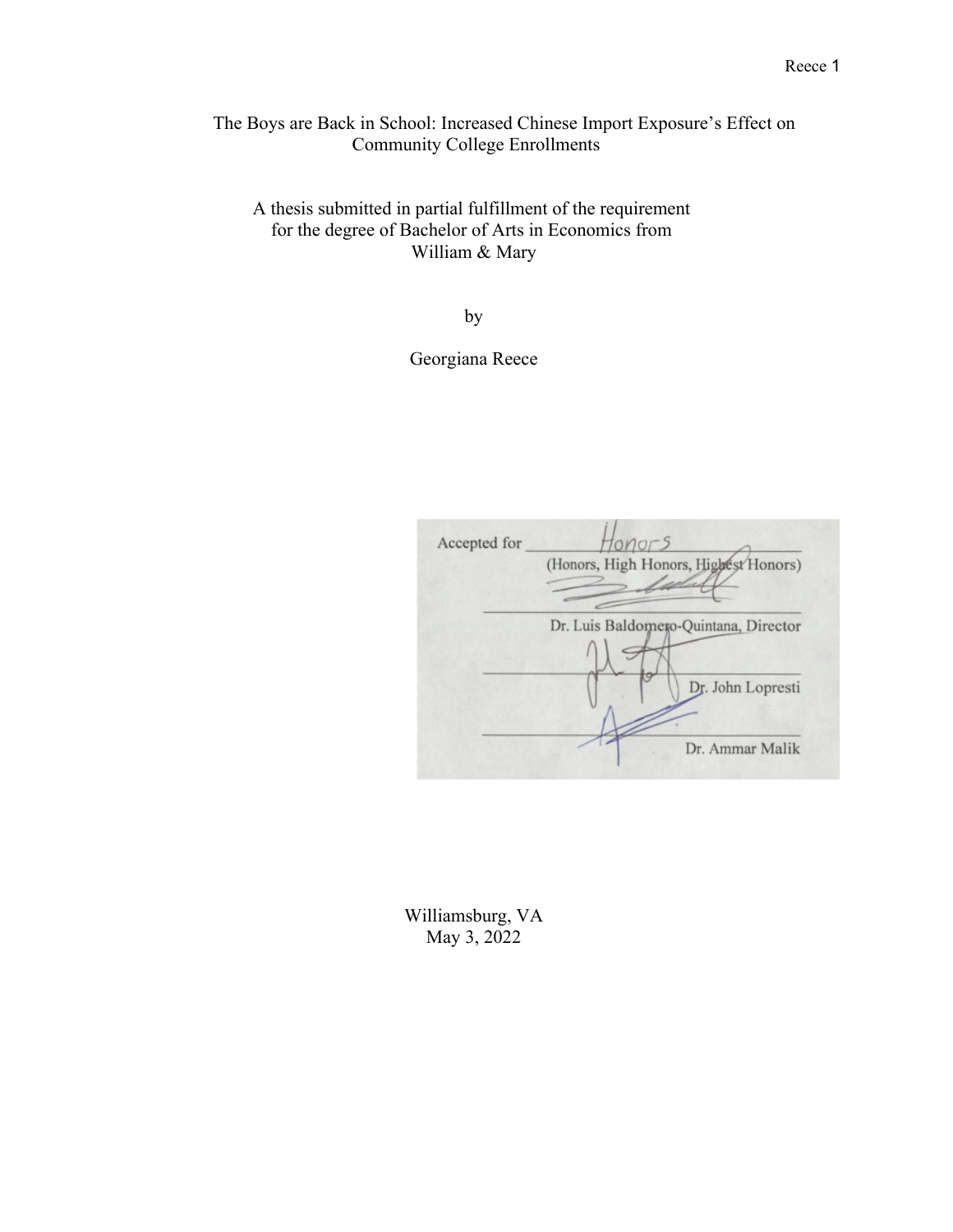The Boys are Back in School: Increased Chinese Import Exposure's Effect on Community College Enrollments

A thesis submitted in partial fulfillment of the requirement for the degree of Bachelor of Arts in Economics from William & Mary

by

Georgiana Reece

| Accepted for | tonors                                |
|--------------|---------------------------------------|
|              | (Honors, High Honors, Highest Honors) |
|              |                                       |
|              |                                       |
|              | Dr. Luis Baldomero-Quintana, Director |
|              |                                       |
|              | Dr. John Lopresti                     |
|              |                                       |
|              |                                       |
|              | Dr. Ammar Malik                       |

Williamsburg, VA May 3, 2022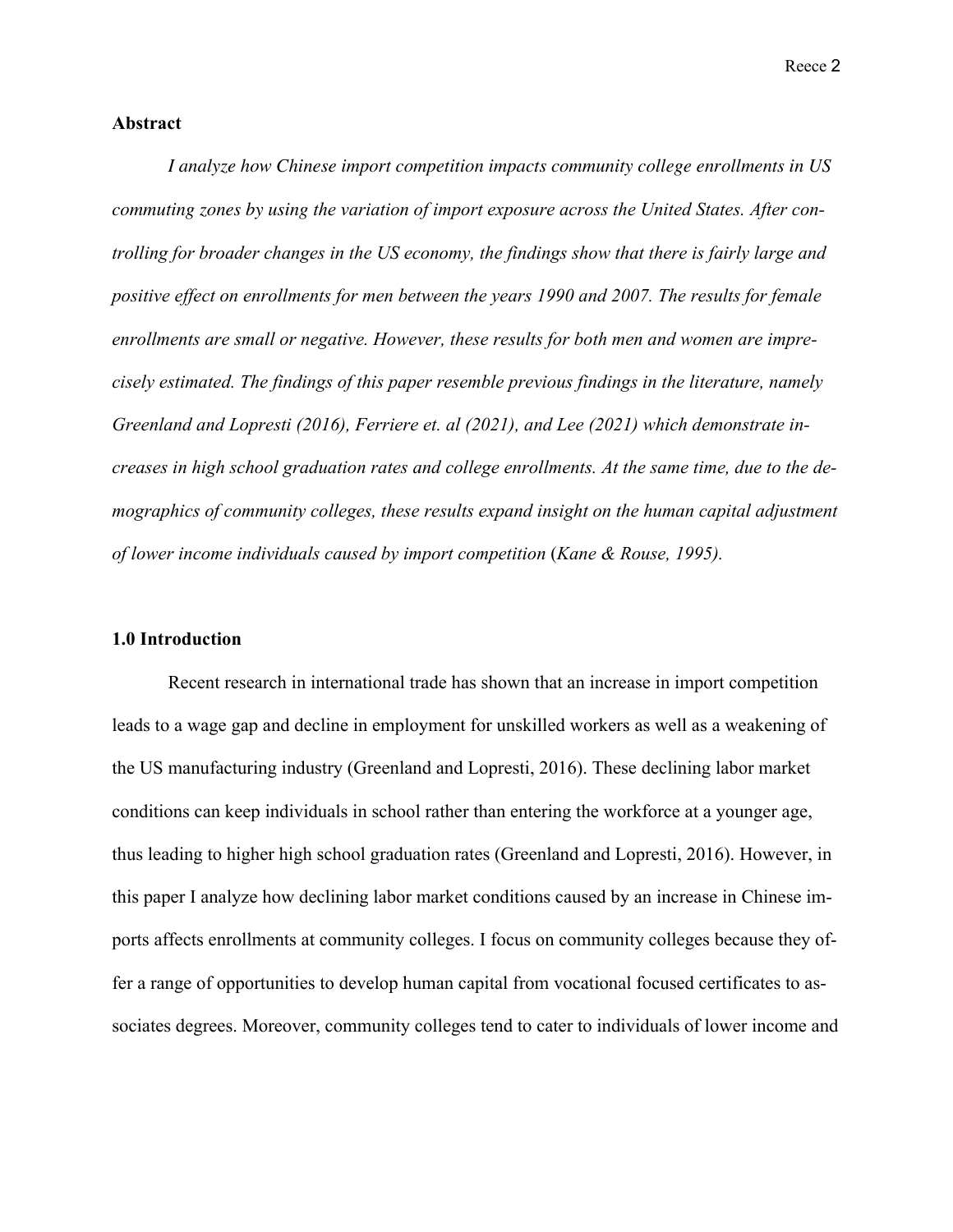#### **Abstract**

*I analyze how Chinese import competition impacts community college enrollments in US commuting zones by using the variation of import exposure across the United States. After controlling for broader changes in the US economy, the findings show that there is fairly large and positive effect on enrollments for men between the years 1990 and 2007. The results for female enrollments are small or negative. However, these results for both men and women are imprecisely estimated. The findings of this paper resemble previous findings in the literature, namely*  Greenland and Lopresti (2016), Ferriere et. al (2021), and Lee (2021) which demonstrate in*creases in high school graduation rates and college enrollments. At the same time, due to the demographics of community colleges, these results expand insight on the human capital adjustment of lower income individuals caused by import competition* (*Kane & Rouse, 1995).*

#### **1.0 Introduction**

Recent research in international trade has shown that an increase in import competition leads to a wage gap and decline in employment for unskilled workers as well as a weakening of the US manufacturing industry (Greenland and Lopresti, 2016). These declining labor market conditions can keep individuals in school rather than entering the workforce at a younger age, thus leading to higher high school graduation rates (Greenland and Lopresti, 2016). However, in this paper I analyze how declining labor market conditions caused by an increase in Chinese imports affects enrollments at community colleges. I focus on community colleges because they offer a range of opportunities to develop human capital from vocational focused certificates to associates degrees. Moreover, community colleges tend to cater to individuals of lower income and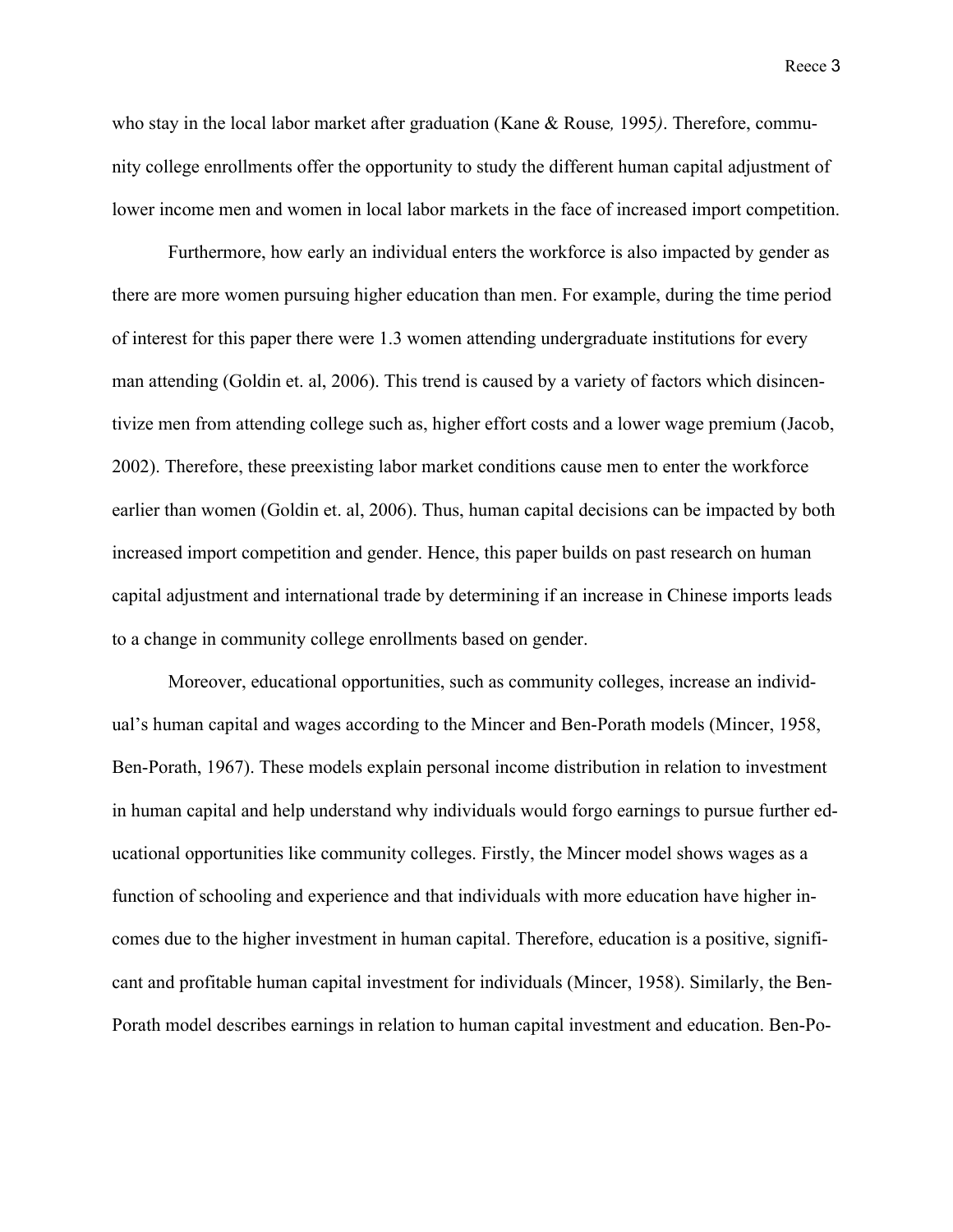who stay in the local labor market after graduation (Kane & Rouse*,* 1995*)*. Therefore, community college enrollments offer the opportunity to study the different human capital adjustment of lower income men and women in local labor markets in the face of increased import competition.

Furthermore, how early an individual enters the workforce is also impacted by gender as there are more women pursuing higher education than men. For example, during the time period of interest for this paper there were 1.3 women attending undergraduate institutions for every man attending (Goldin et. al, 2006). This trend is caused by a variety of factors which disincentivize men from attending college such as, higher effort costs and a lower wage premium (Jacob, 2002). Therefore, these preexisting labor market conditions cause men to enter the workforce earlier than women (Goldin et. al, 2006). Thus, human capital decisions can be impacted by both increased import competition and gender. Hence, this paper builds on past research on human capital adjustment and international trade by determining if an increase in Chinese imports leads to a change in community college enrollments based on gender.

Moreover, educational opportunities, such as community colleges, increase an individual's human capital and wages according to the Mincer and Ben-Porath models (Mincer, 1958, Ben-Porath, 1967). These models explain personal income distribution in relation to investment in human capital and help understand why individuals would forgo earnings to pursue further educational opportunities like community colleges. Firstly, the Mincer model shows wages as a function of schooling and experience and that individuals with more education have higher incomes due to the higher investment in human capital. Therefore, education is a positive, significant and profitable human capital investment for individuals (Mincer, 1958). Similarly, the Ben-Porath model describes earnings in relation to human capital investment and education. Ben-Po-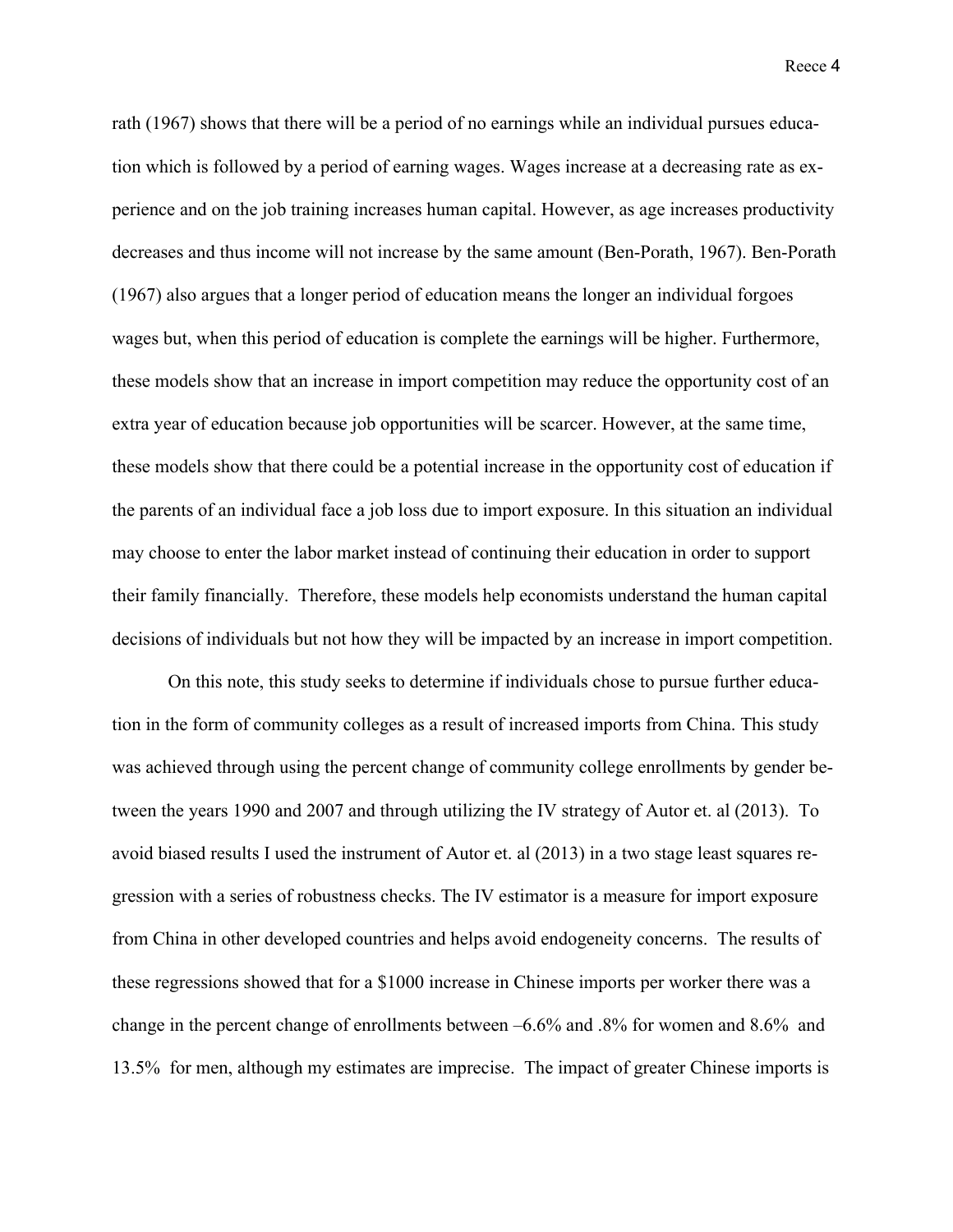rath (1967) shows that there will be a period of no earnings while an individual pursues education which is followed by a period of earning wages. Wages increase at a decreasing rate as experience and on the job training increases human capital. However, as age increases productivity decreases and thus income will not increase by the same amount (Ben-Porath, 1967). Ben-Porath (1967) also argues that a longer period of education means the longer an individual forgoes wages but, when this period of education is complete the earnings will be higher. Furthermore, these models show that an increase in import competition may reduce the opportunity cost of an extra year of education because job opportunities will be scarcer. However, at the same time, these models show that there could be a potential increase in the opportunity cost of education if the parents of an individual face a job loss due to import exposure. In this situation an individual may choose to enter the labor market instead of continuing their education in order to support their family financially. Therefore, these models help economists understand the human capital decisions of individuals but not how they will be impacted by an increase in import competition.

On this note, this study seeks to determine if individuals chose to pursue further education in the form of community colleges as a result of increased imports from China. This study was achieved through using the percent change of community college enrollments by gender between the years 1990 and 2007 and through utilizing the IV strategy of Autor et. al (2013). To avoid biased results I used the instrument of Autor et. al (2013) in a two stage least squares regression with a series of robustness checks. The IV estimator is a measure for import exposure from China in other developed countries and helps avoid endogeneity concerns. The results of these regressions showed that for a \$1000 increase in Chinese imports per worker there was a change in the percent change of enrollments between –6.6% and .8% for women and 8.6% and 13.5% for men, although my estimates are imprecise. The impact of greater Chinese imports is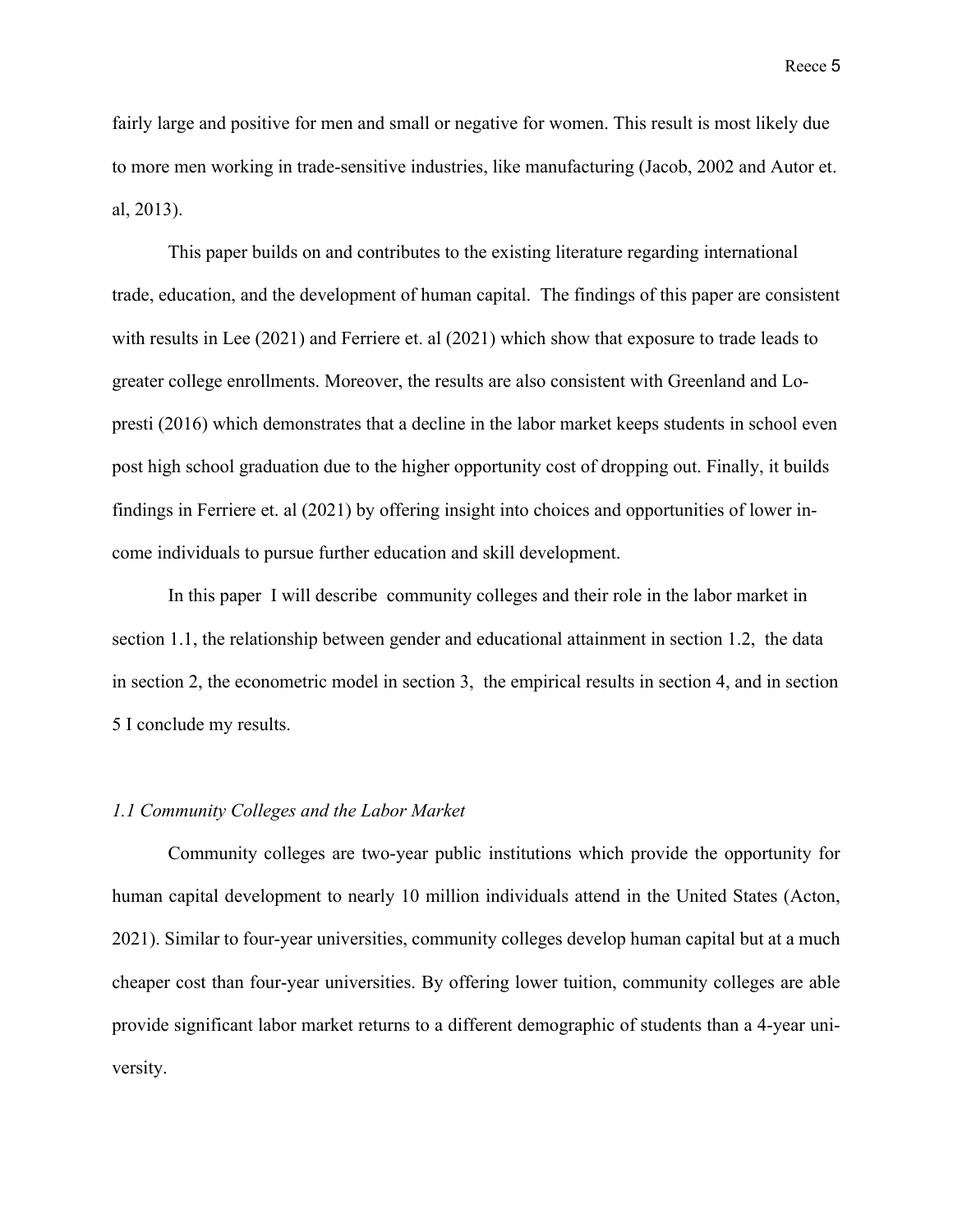fairly large and positive for men and small or negative for women. This result is most likely due to more men working in trade-sensitive industries, like manufacturing (Jacob, 2002 and Autor et. al, 2013).

This paper builds on and contributes to the existing literature regarding international trade, education, and the development of human capital. The findings of this paper are consistent with results in Lee (2021) and Ferriere et. al (2021) which show that exposure to trade leads to greater college enrollments. Moreover, the results are also consistent with Greenland and Lopresti (2016) which demonstrates that a decline in the labor market keeps students in school even post high school graduation due to the higher opportunity cost of dropping out. Finally, it builds findings in Ferriere et. al (2021) by offering insight into choices and opportunities of lower income individuals to pursue further education and skill development.

In this paper I will describe community colleges and their role in the labor market in section 1.1, the relationship between gender and educational attainment in section 1.2, the data in section 2, the econometric model in section 3, the empirical results in section 4, and in section 5 I conclude my results.

#### *1.1 Community Colleges and the Labor Market*

Community colleges are two-year public institutions which provide the opportunity for human capital development to nearly 10 million individuals attend in the United States (Acton, 2021). Similar to four-year universities, community colleges develop human capital but at a much cheaper cost than four-year universities. By offering lower tuition, community colleges are able provide significant labor market returns to a different demographic of students than a 4-year university.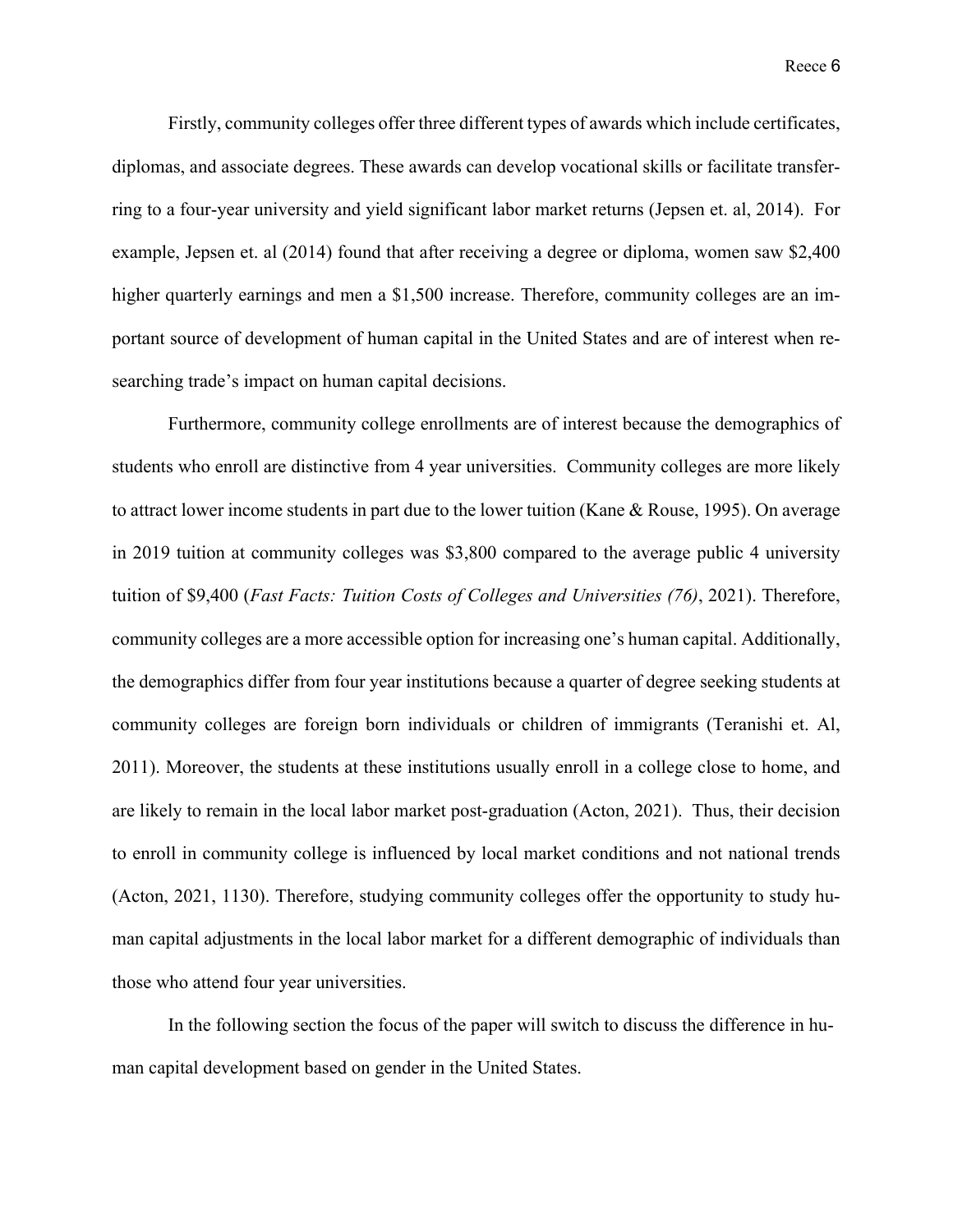Firstly, community colleges offer three different types of awards which include certificates, diplomas, and associate degrees. These awards can develop vocational skills or facilitate transferring to a four-year university and yield significant labor market returns (Jepsen et. al, 2014). For example, Jepsen et. al (2014) found that after receiving a degree or diploma, women saw \$2,400 higher quarterly earnings and men a \$1,500 increase. Therefore, community colleges are an important source of development of human capital in the United States and are of interest when researching trade's impact on human capital decisions.

Furthermore, community college enrollments are of interest because the demographics of students who enroll are distinctive from 4 year universities. Community colleges are more likely to attract lower income students in part due to the lower tuition (Kane & Rouse, 1995). On average in 2019 tuition at community colleges was \$3,800 compared to the average public 4 university tuition of \$9,400 (*Fast Facts: Tuition Costs of Colleges and Universities (76)*, 2021). Therefore, community colleges are a more accessible option for increasing one's human capital. Additionally, the demographics differ from four year institutions because a quarter of degree seeking students at community colleges are foreign born individuals or children of immigrants (Teranishi et. Al, 2011). Moreover, the students at these institutions usually enroll in a college close to home, and are likely to remain in the local labor market post-graduation (Acton, 2021). Thus, their decision to enroll in community college is influenced by local market conditions and not national trends (Acton, 2021, 1130). Therefore, studying community colleges offer the opportunity to study human capital adjustments in the local labor market for a different demographic of individuals than those who attend four year universities.

In the following section the focus of the paper will switch to discuss the difference in human capital development based on gender in the United States.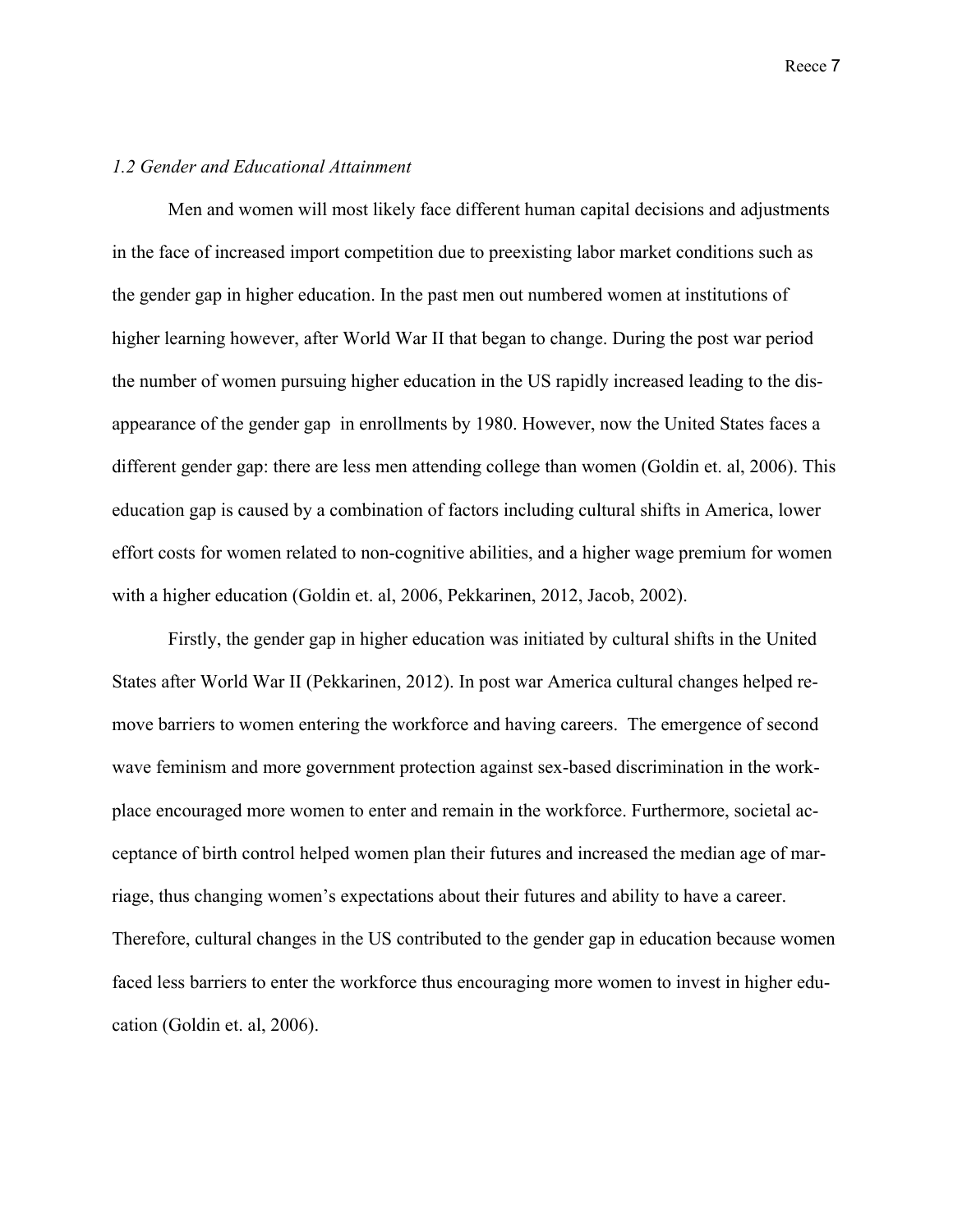#### *1.2 Gender and Educational Attainment*

Men and women will most likely face different human capital decisions and adjustments in the face of increased import competition due to preexisting labor market conditions such as the gender gap in higher education. In the past men out numbered women at institutions of higher learning however, after World War II that began to change. During the post war period the number of women pursuing higher education in the US rapidly increased leading to the disappearance of the gender gap in enrollments by 1980. However, now the United States faces a different gender gap: there are less men attending college than women (Goldin et. al, 2006). This education gap is caused by a combination of factors including cultural shifts in America, lower effort costs for women related to non-cognitive abilities, and a higher wage premium for women with a higher education (Goldin et. al, 2006, Pekkarinen, 2012, Jacob, 2002).

Firstly, the gender gap in higher education was initiated by cultural shifts in the United States after World War II (Pekkarinen, 2012). In post war America cultural changes helped remove barriers to women entering the workforce and having careers. The emergence of second wave feminism and more government protection against sex-based discrimination in the workplace encouraged more women to enter and remain in the workforce. Furthermore, societal acceptance of birth control helped women plan their futures and increased the median age of marriage, thus changing women's expectations about their futures and ability to have a career. Therefore, cultural changes in the US contributed to the gender gap in education because women faced less barriers to enter the workforce thus encouraging more women to invest in higher education (Goldin et. al, 2006).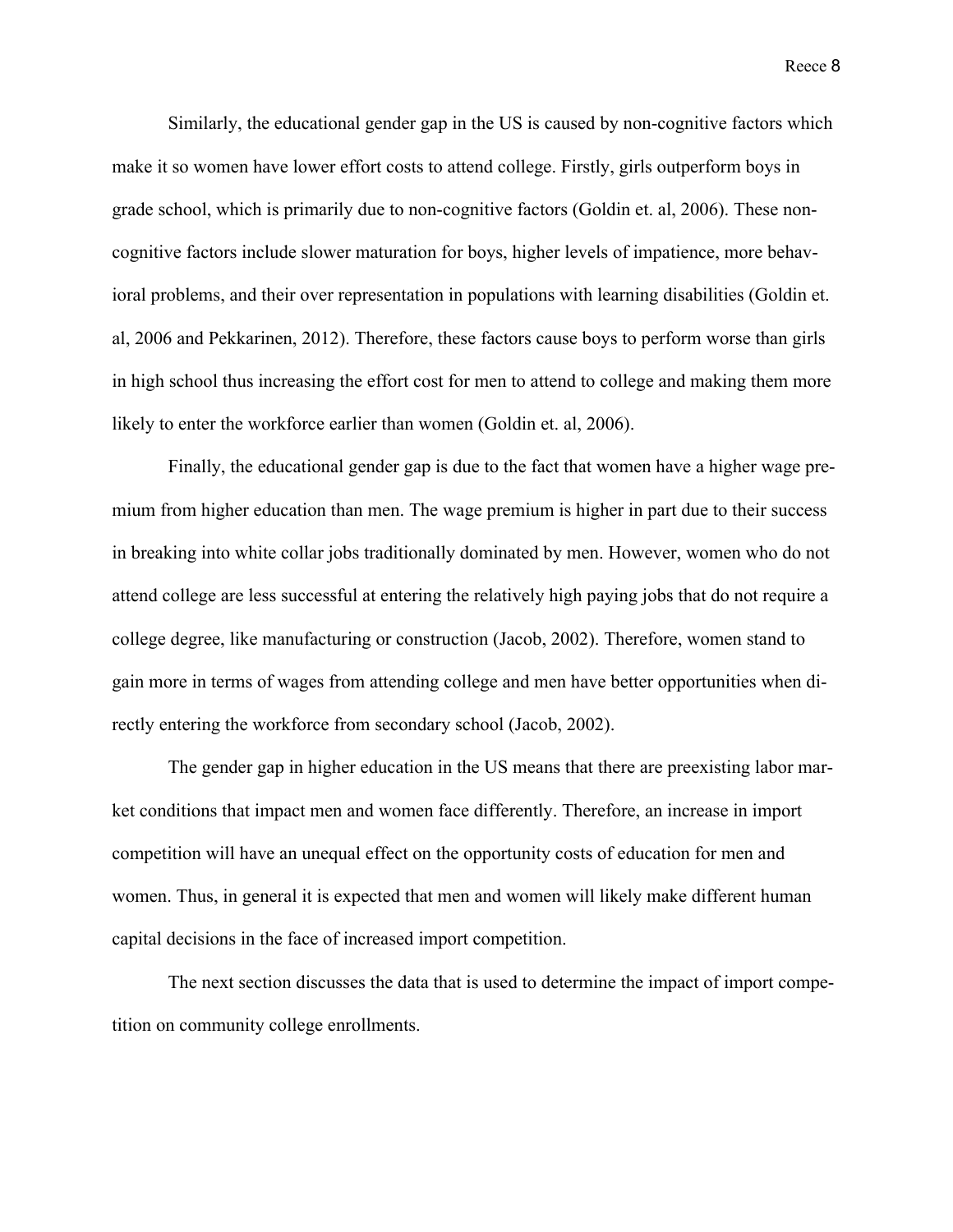Similarly, the educational gender gap in the US is caused by non-cognitive factors which make it so women have lower effort costs to attend college. Firstly, girls outperform boys in grade school, which is primarily due to non-cognitive factors (Goldin et. al, 2006). These noncognitive factors include slower maturation for boys, higher levels of impatience, more behavioral problems, and their over representation in populations with learning disabilities (Goldin et. al, 2006 and Pekkarinen, 2012). Therefore, these factors cause boys to perform worse than girls in high school thus increasing the effort cost for men to attend to college and making them more likely to enter the workforce earlier than women (Goldin et. al, 2006).

Finally, the educational gender gap is due to the fact that women have a higher wage premium from higher education than men. The wage premium is higher in part due to their success in breaking into white collar jobs traditionally dominated by men. However, women who do not attend college are less successful at entering the relatively high paying jobs that do not require a college degree, like manufacturing or construction (Jacob, 2002). Therefore, women stand to gain more in terms of wages from attending college and men have better opportunities when directly entering the workforce from secondary school (Jacob, 2002).

The gender gap in higher education in the US means that there are preexisting labor market conditions that impact men and women face differently. Therefore, an increase in import competition will have an unequal effect on the opportunity costs of education for men and women. Thus, in general it is expected that men and women will likely make different human capital decisions in the face of increased import competition.

The next section discusses the data that is used to determine the impact of import competition on community college enrollments.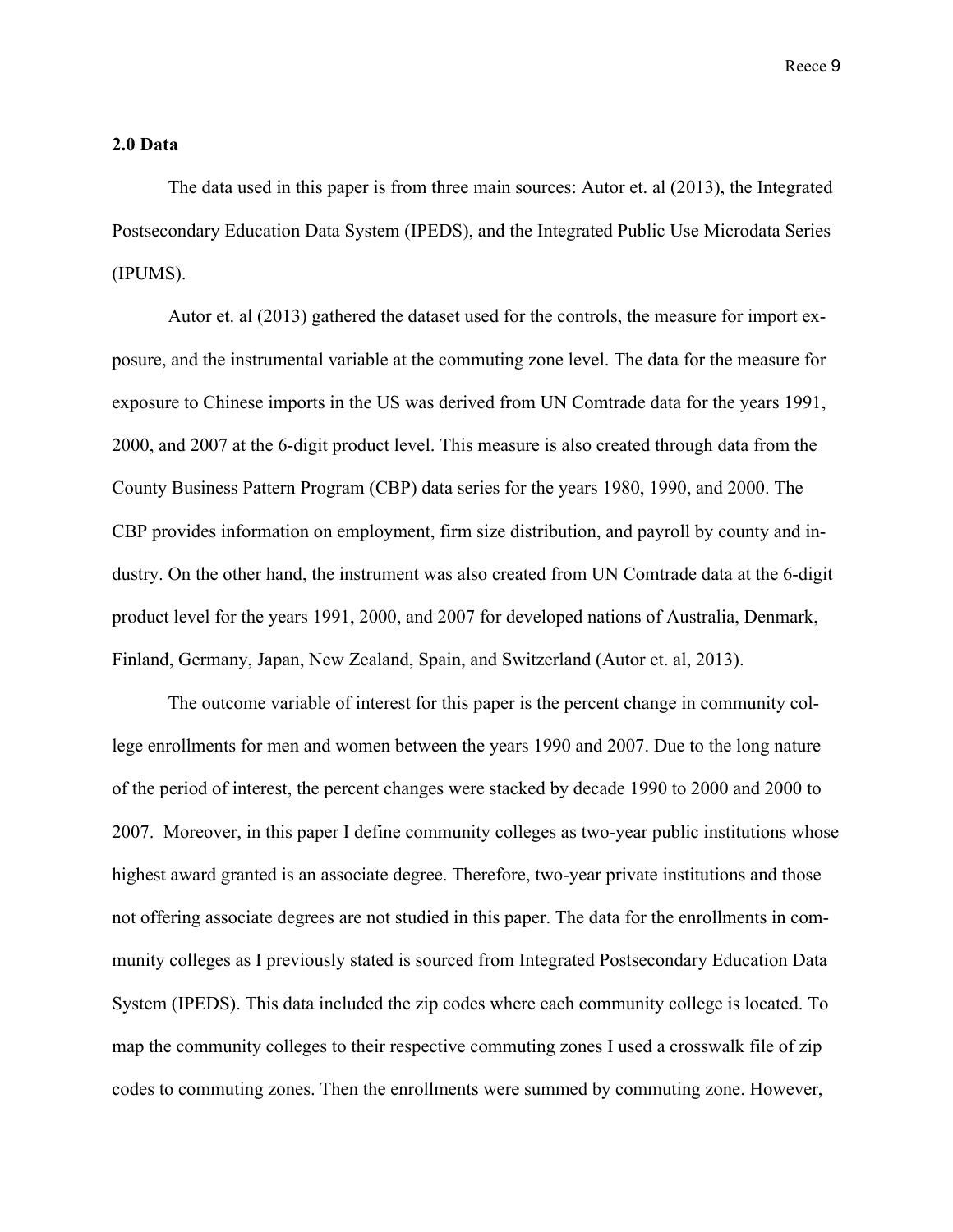#### **2.0 Data**

The data used in this paper is from three main sources: Autor et. al (2013), the Integrated Postsecondary Education Data System (IPEDS), and the Integrated Public Use Microdata Series (IPUMS).

Autor et. al (2013) gathered the dataset used for the controls, the measure for import exposure, and the instrumental variable at the commuting zone level. The data for the measure for exposure to Chinese imports in the US was derived from UN Comtrade data for the years 1991, 2000, and 2007 at the 6-digit product level. This measure is also created through data from the County Business Pattern Program (CBP) data series for the years 1980, 1990, and 2000. The CBP provides information on employment, firm size distribution, and payroll by county and industry. On the other hand, the instrument was also created from UN Comtrade data at the 6-digit product level for the years 1991, 2000, and 2007 for developed nations of Australia, Denmark, Finland, Germany, Japan, New Zealand, Spain, and Switzerland (Autor et. al, 2013).

The outcome variable of interest for this paper is the percent change in community college enrollments for men and women between the years 1990 and 2007. Due to the long nature of the period of interest, the percent changes were stacked by decade 1990 to 2000 and 2000 to 2007. Moreover, in this paper I define community colleges as two-year public institutions whose highest award granted is an associate degree. Therefore, two-year private institutions and those not offering associate degrees are not studied in this paper. The data for the enrollments in community colleges as I previously stated is sourced from Integrated Postsecondary Education Data System (IPEDS). This data included the zip codes where each community college is located. To map the community colleges to their respective commuting zones I used a crosswalk file of zip codes to commuting zones. Then the enrollments were summed by commuting zone. However,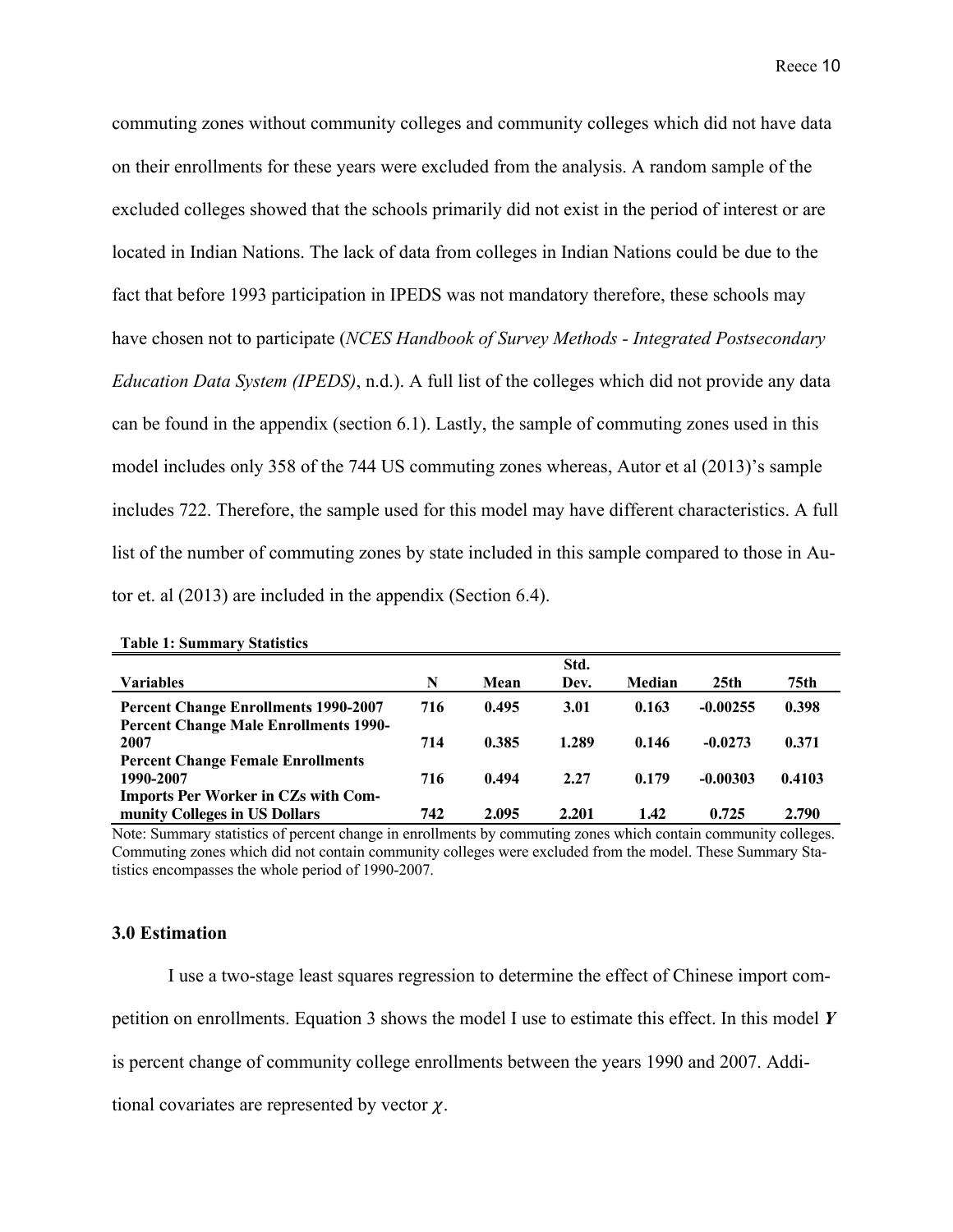commuting zones without community colleges and community colleges which did not have data on their enrollments for these years were excluded from the analysis. A random sample of the excluded colleges showed that the schools primarily did not exist in the period of interest or are located in Indian Nations. The lack of data from colleges in Indian Nations could be due to the fact that before 1993 participation in IPEDS was not mandatory therefore, these schools may have chosen not to participate (*NCES Handbook of Survey Methods - Integrated Postsecondary Education Data System (IPEDS)*, n.d.). A full list of the colleges which did not provide any data can be found in the appendix (section 6.1). Lastly, the sample of commuting zones used in this model includes only 358 of the 744 US commuting zones whereas, Autor et al (2013)'s sample includes 722. Therefore, the sample used for this model may have different characteristics. A full list of the number of commuting zones by state included in this sample compared to those in Autor et. al (2013) are included in the appendix (Section 6.4).

|                                              |     |       | Std.  |        |                  |        |
|----------------------------------------------|-----|-------|-------|--------|------------------|--------|
| <b>Variables</b>                             | N   | Mean  | Dev.  | Median | 25 <sub>th</sub> | 75th   |
| <b>Percent Change Enrollments 1990-2007</b>  | 716 | 0.495 | 3.01  | 0.163  | $-0.00255$       | 0.398  |
| <b>Percent Change Male Enrollments 1990-</b> |     |       |       |        |                  |        |
| 2007                                         | 714 | 0.385 | 1.289 | 0.146  | $-0.0273$        | 0.371  |
| <b>Percent Change Female Enrollments</b>     |     |       |       |        |                  |        |
| 1990-2007                                    | 716 | 0.494 | 2.27  | 0.179  | $-0.00303$       | 0.4103 |
| <b>Imports Per Worker in CZs with Com-</b>   |     |       |       |        |                  |        |
| munity Colleges in US Dollars                | 742 | 2.095 | 2.201 | 1.42   | 0.725            | 2.790  |

**Table 1: Summary Statistics**

Note: Summary statistics of percent change in enrollments by commuting zones which contain community colleges. Commuting zones which did not contain community colleges were excluded from the model. These Summary Statistics encompasses the whole period of 1990-2007.

#### **3.0 Estimation**

I use a two-stage least squares regression to determine the effect of Chinese import competition on enrollments. Equation 3 shows the model I use to estimate this effect. In this model *Y*

is percent change of community college enrollments between the years 1990 and 2007. Addi-

tional covariates are represented by vector  $\chi$ .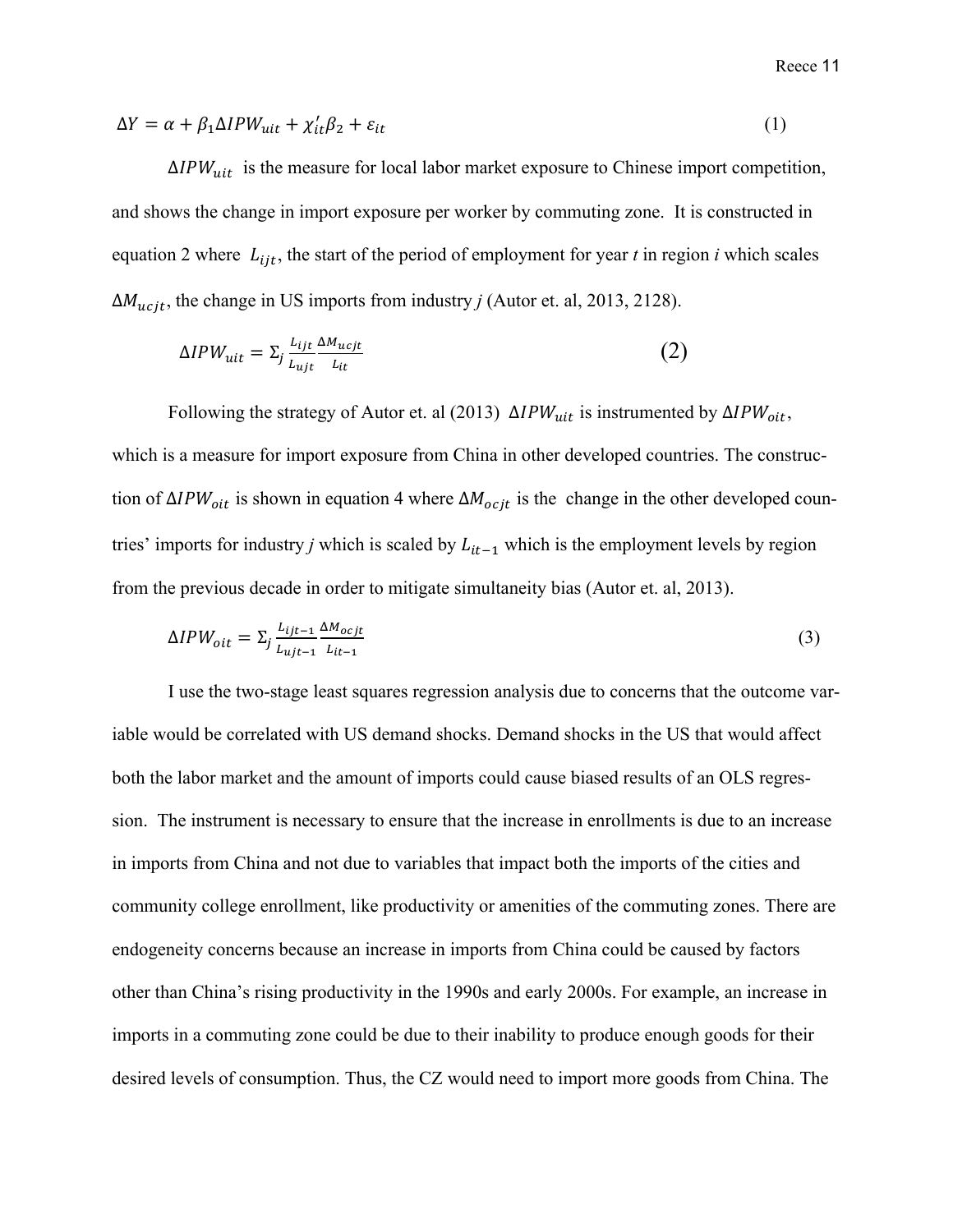$$
\Delta Y = \alpha + \beta_1 \Delta IPW_{uit} + \chi_{it}'\beta_2 + \varepsilon_{it} \tag{1}
$$

 $\Delta IPW_{uit}$  is the measure for local labor market exposure to Chinese import competition, and shows the change in import exposure per worker by commuting zone. It is constructed in equation 2 where  $L_{iit}$ , the start of the period of employment for year *t* in region *i* which scales  $\Delta M_{ucit}$ , the change in US imports from industry *j* (Autor et. al, 2013, 2128).

$$
\Delta IPW_{uit} = \sum_{j} \frac{L_{ijt}}{L_{ujt}} \frac{\Delta M_{ucjt}}{L_{it}} \tag{2}
$$

Following the strategy of Autor et. al (2013)  $ΔIPW<sub>uit</sub>$  is instrumented by  $ΔIPW<sub>oit</sub>$ , which is a measure for import exposure from China in other developed countries. The construction of  $\Delta IPW_{oit}$  is shown in equation 4 where  $\Delta M_{ocjt}$  is the change in the other developed countries' imports for industry *j* which is scaled by  $L_{it-1}$  which is the employment levels by region from the previous decade in order to mitigate simultaneity bias (Autor et. al, 2013).

$$
\Delta IPW_{oit} = \sum_{j} \frac{L_{ijt-1}}{L_{ujt-1}} \frac{\Delta M_{ocjt}}{L_{it-1}}
$$
\n(3)

I use the two-stage least squares regression analysis due to concerns that the outcome variable would be correlated with US demand shocks. Demand shocks in the US that would affect both the labor market and the amount of imports could cause biased results of an OLS regression. The instrument is necessary to ensure that the increase in enrollments is due to an increase in imports from China and not due to variables that impact both the imports of the cities and community college enrollment, like productivity or amenities of the commuting zones. There are endogeneity concerns because an increase in imports from China could be caused by factors other than China's rising productivity in the 1990s and early 2000s. For example, an increase in imports in a commuting zone could be due to their inability to produce enough goods for their desired levels of consumption. Thus, the CZ would need to import more goods from China. The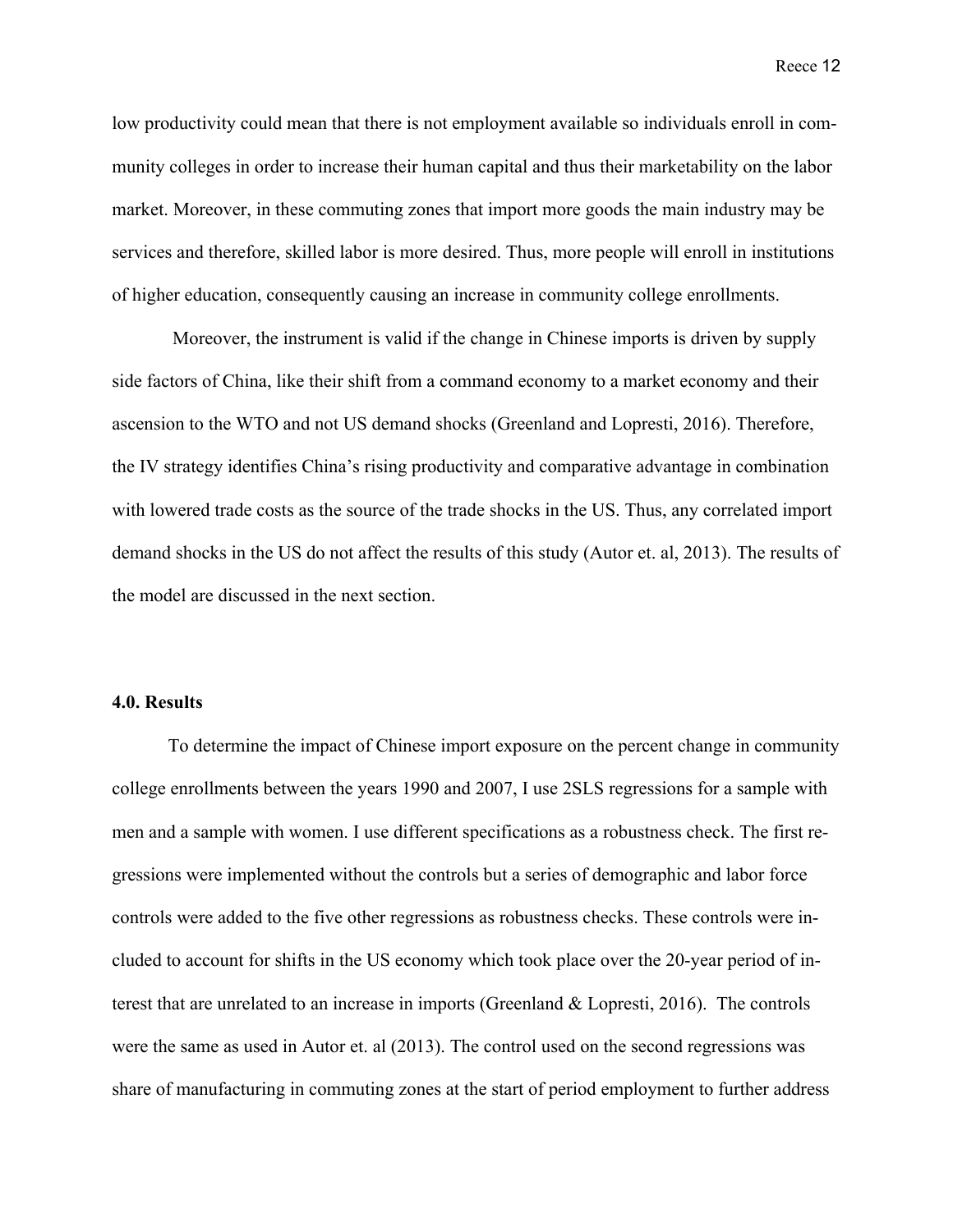low productivity could mean that there is not employment available so individuals enroll in community colleges in order to increase their human capital and thus their marketability on the labor market. Moreover, in these commuting zones that import more goods the main industry may be services and therefore, skilled labor is more desired. Thus, more people will enroll in institutions of higher education, consequently causing an increase in community college enrollments.

Moreover, the instrument is valid if the change in Chinese imports is driven by supply side factors of China, like their shift from a command economy to a market economy and their ascension to the WTO and not US demand shocks (Greenland and Lopresti, 2016). Therefore, the IV strategy identifies China's rising productivity and comparative advantage in combination with lowered trade costs as the source of the trade shocks in the US. Thus, any correlated import demand shocks in the US do not affect the results of this study (Autor et. al, 2013). The results of the model are discussed in the next section.

#### **4.0. Results**

To determine the impact of Chinese import exposure on the percent change in community college enrollments between the years 1990 and 2007, I use 2SLS regressions for a sample with men and a sample with women. I use different specifications as a robustness check. The first regressions were implemented without the controls but a series of demographic and labor force controls were added to the five other regressions as robustness checks. These controls were included to account for shifts in the US economy which took place over the 20-year period of interest that are unrelated to an increase in imports (Greenland & Lopresti, 2016). The controls were the same as used in Autor et. al (2013). The control used on the second regressions was share of manufacturing in commuting zones at the start of period employment to further address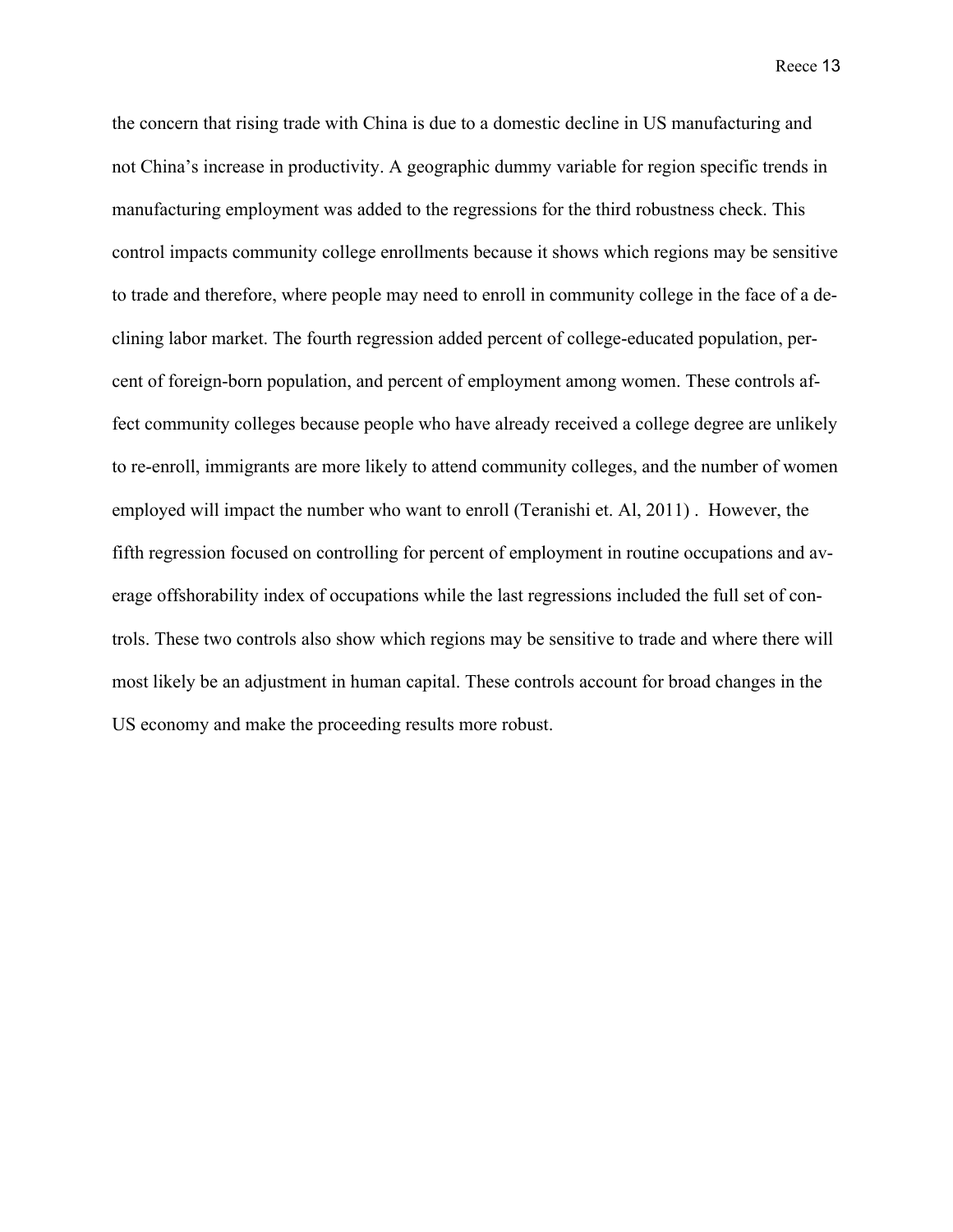the concern that rising trade with China is due to a domestic decline in US manufacturing and not China's increase in productivity. A geographic dummy variable for region specific trends in manufacturing employment was added to the regressions for the third robustness check. This control impacts community college enrollments because it shows which regions may be sensitive to trade and therefore, where people may need to enroll in community college in the face of a declining labor market. The fourth regression added percent of college-educated population, percent of foreign-born population, and percent of employment among women. These controls affect community colleges because people who have already received a college degree are unlikely to re-enroll, immigrants are more likely to attend community colleges, and the number of women employed will impact the number who want to enroll (Teranishi et. Al, 2011) . However, the fifth regression focused on controlling for percent of employment in routine occupations and average offshorability index of occupations while the last regressions included the full set of controls. These two controls also show which regions may be sensitive to trade and where there will most likely be an adjustment in human capital. These controls account for broad changes in the US economy and make the proceeding results more robust.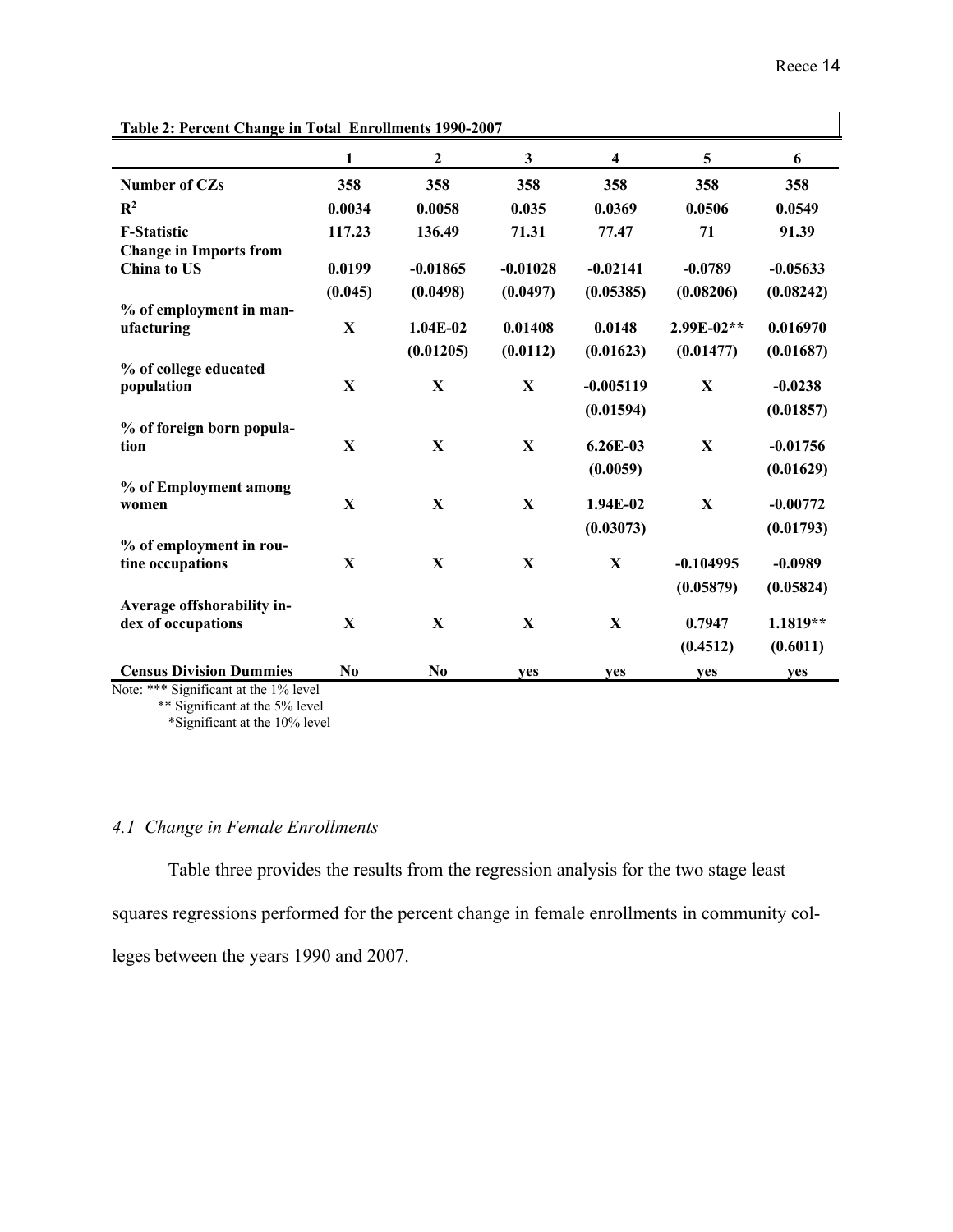| Table 2: Percent Change in Total Enrollments 1990-2007 |                |                  |            |                         |              |            |
|--------------------------------------------------------|----------------|------------------|------------|-------------------------|--------------|------------|
|                                                        | 1              | $\boldsymbol{2}$ | 3          | $\overline{\mathbf{4}}$ | 5            | 6          |
| <b>Number of CZs</b>                                   | 358            | 358              | 358        | 358                     | 358          | 358        |
| $\mathbb{R}^2$                                         | 0.0034         | 0.0058           | 0.035      | 0.0369                  | 0.0506       | 0.0549     |
| <b>F-Statistic</b>                                     | 117.23         | 136.49           | 71.31      | 77.47                   | 71           | 91.39      |
| <b>Change in Imports from</b>                          |                |                  |            |                         |              |            |
| China to US                                            | 0.0199         | $-0.01865$       | $-0.01028$ | $-0.02141$              | $-0.0789$    | $-0.05633$ |
|                                                        | (0.045)        | (0.0498)         | (0.0497)   | (0.05385)               | (0.08206)    | (0.08242)  |
| % of employment in man-<br>ufacturing                  | $\mathbf X$    | $1.04E-02$       | 0.01408    | 0.0148                  | 2.99E-02**   | 0.016970   |
|                                                        |                | (0.01205)        | (0.0112)   | (0.01623)               | (0.01477)    | (0.01687)  |
| % of college educated                                  |                |                  |            |                         |              |            |
| population                                             | $\mathbf X$    | X                | X          | $-0.005119$             | X            | $-0.0238$  |
|                                                        |                |                  |            | (0.01594)               |              | (0.01857)  |
| % of foreign born popula-                              |                |                  |            |                         |              |            |
| tion                                                   | $\mathbf X$    | $\mathbf{x}$     | X          | $6.26E-03$              | $\mathbf{X}$ | $-0.01756$ |
|                                                        |                |                  |            | (0.0059)                |              | (0.01629)  |
| % of Employment among<br>women                         | X              | $\mathbf{X}$     | X          | 1.94E-02                | X            | $-0.00772$ |
|                                                        |                |                  |            | (0.03073)               |              | (0.01793)  |
| % of employment in rou-                                |                |                  |            |                         |              |            |
| tine occupations                                       | X              | $\mathbf X$      | X          | X                       | $-0.104995$  | $-0.0989$  |
|                                                        |                |                  |            |                         | (0.05879)    | (0.05824)  |
| Average offshorability in-                             |                |                  |            |                         |              |            |
| dex of occupations                                     | X              | $\mathbf X$      | X          | $\mathbf X$             | 0.7947       | $1.1819**$ |
|                                                        |                |                  |            |                         | (0.4512)     | (0.6011)   |
| <b>Census Division Dummies</b>                         | N <sub>0</sub> | N <sub>0</sub>   | ves        | <b>ves</b>              | yes          | yes        |

**Table 2: Percent Change in Total Enrollments 1990-2007**

Note: \*\*\* Significant at the 1% level \*\* Significant at the 5% level

\*Significant at the 10% level

## *4.1 Change in Female Enrollments*

Table three provides the results from the regression analysis for the two stage least squares regressions performed for the percent change in female enrollments in community colleges between the years 1990 and 2007.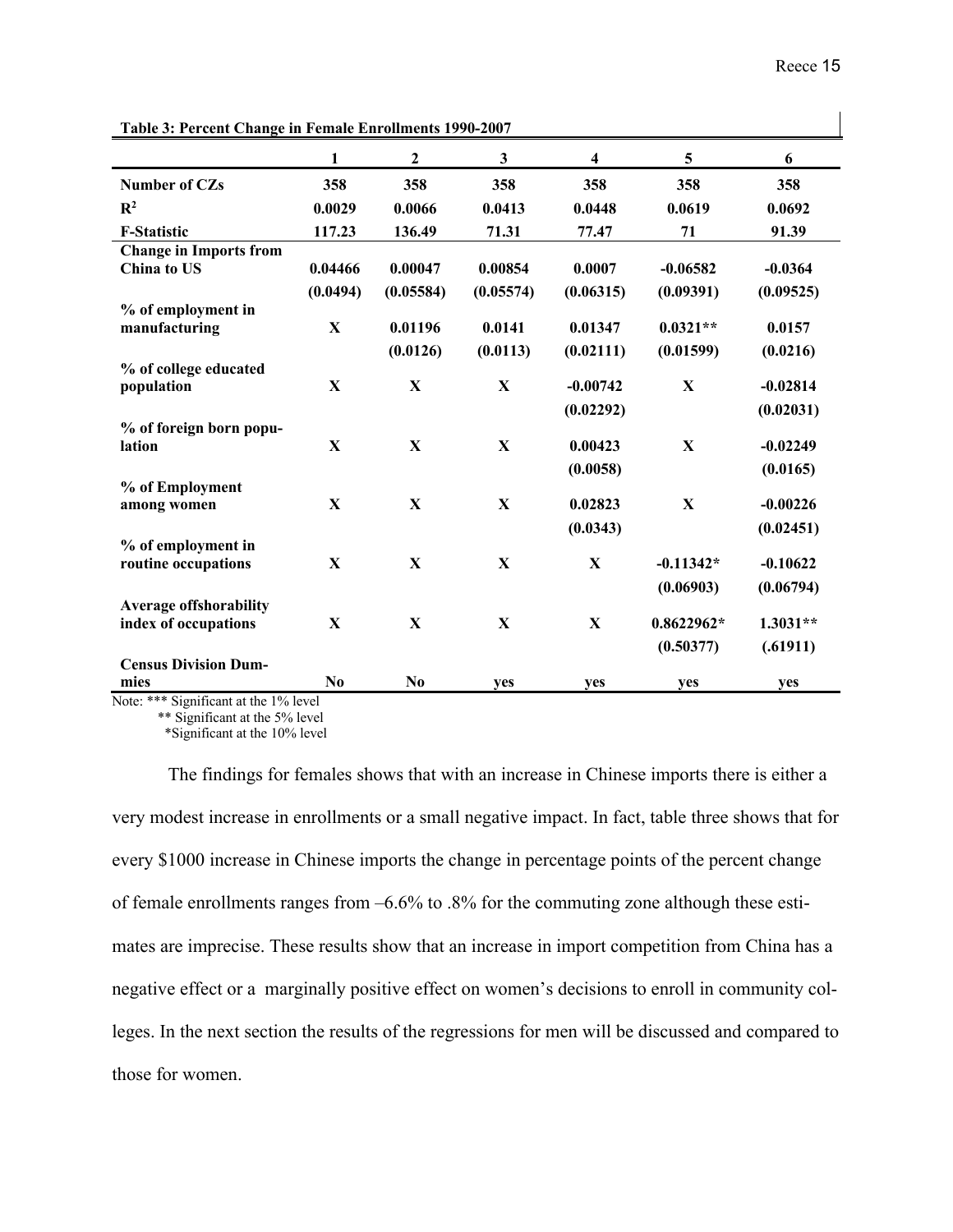$\overline{1}$ 

| Table 3: Percent Unange in Female Enrollments 1990-2007 |              |                  |              |             |                         |            |
|---------------------------------------------------------|--------------|------------------|--------------|-------------|-------------------------|------------|
|                                                         | $\mathbf{1}$ | $\boldsymbol{2}$ | $\mathbf{3}$ | 4           | $\overline{\mathbf{5}}$ | 6          |
| <b>Number of CZs</b>                                    | 358          | 358              | 358          | 358         | 358                     | 358        |
| $\mathbb{R}^2$                                          | 0.0029       | 0.0066           | 0.0413       | 0.0448      | 0.0619                  | 0.0692     |
| <b>F-Statistic</b>                                      | 117.23       | 136.49           | 71.31        | 77.47       | 71                      | 91.39      |
| <b>Change in Imports from</b>                           |              |                  |              |             |                         |            |
| China to US                                             | 0.04466      | 0.00047          | 0.00854      | 0.0007      | $-0.06582$              | $-0.0364$  |
|                                                         | (0.0494)     | (0.05584)        | (0.05574)    | (0.06315)   | (0.09391)               | (0.09525)  |
| % of employment in                                      |              |                  |              |             |                         |            |
| manufacturing                                           | $\mathbf X$  | 0.01196          | 0.0141       | 0.01347     | $0.0321**$              | 0.0157     |
|                                                         |              | (0.0126)         | (0.0113)     | (0.02111)   | (0.01599)               | (0.0216)   |
| % of college educated                                   |              |                  |              |             |                         |            |
| population                                              | X            | X                | $\mathbf X$  | $-0.00742$  | $\mathbf X$             | $-0.02814$ |
|                                                         |              |                  |              | (0.02292)   |                         | (0.02031)  |
| % of foreign born popu-                                 |              |                  |              |             |                         |            |
| lation                                                  | $\mathbf X$  | $\mathbf X$      | $\mathbf X$  | 0.00423     | $\mathbf X$             | $-0.02249$ |
|                                                         |              |                  |              | (0.0058)    |                         | (0.0165)   |
| % of Employment                                         |              |                  |              |             |                         |            |
| among women                                             | $\mathbf{X}$ | X                | X            | 0.02823     | X                       | $-0.00226$ |
|                                                         |              |                  |              | (0.0343)    |                         | (0.02451)  |
| % of employment in                                      |              |                  |              |             |                         |            |
| routine occupations                                     | X            | X                | $\mathbf{X}$ | $\mathbf X$ | $-0.11342*$             | $-0.10622$ |
|                                                         |              |                  |              |             | (0.06903)               | (0.06794)  |
| <b>Average offshorability</b>                           |              |                  |              |             |                         |            |
| index of occupations                                    | X            | X                | X            | $\mathbf X$ | $0.8622962*$            | $1.3031**$ |
|                                                         |              |                  |              |             | (0.50377)               | (.61911)   |
| <b>Census Division Dum-</b>                             |              |                  |              |             |                         |            |
| mies                                                    | $\bf No$     | $\bf No$         | yes          | yes         | yes                     | yes        |
| Note: *** Significant at the 1% level                   |              |                  |              |             |                         |            |

**Table 3: Percent Change in Female Enrollments 1990-2007** 

Note: \*\*\* Significant at the 1% level \*\* Significant at the 5% level

\*Significant at the 10% level

The findings for females shows that with an increase in Chinese imports there is either a very modest increase in enrollments or a small negative impact. In fact, table three shows that for every \$1000 increase in Chinese imports the change in percentage points of the percent change of female enrollments ranges from –6.6% to .8% for the commuting zone although these estimates are imprecise. These results show that an increase in import competition from China has a negative effect or a marginally positive effect on women's decisions to enroll in community colleges. In the next section the results of the regressions for men will be discussed and compared to those for women.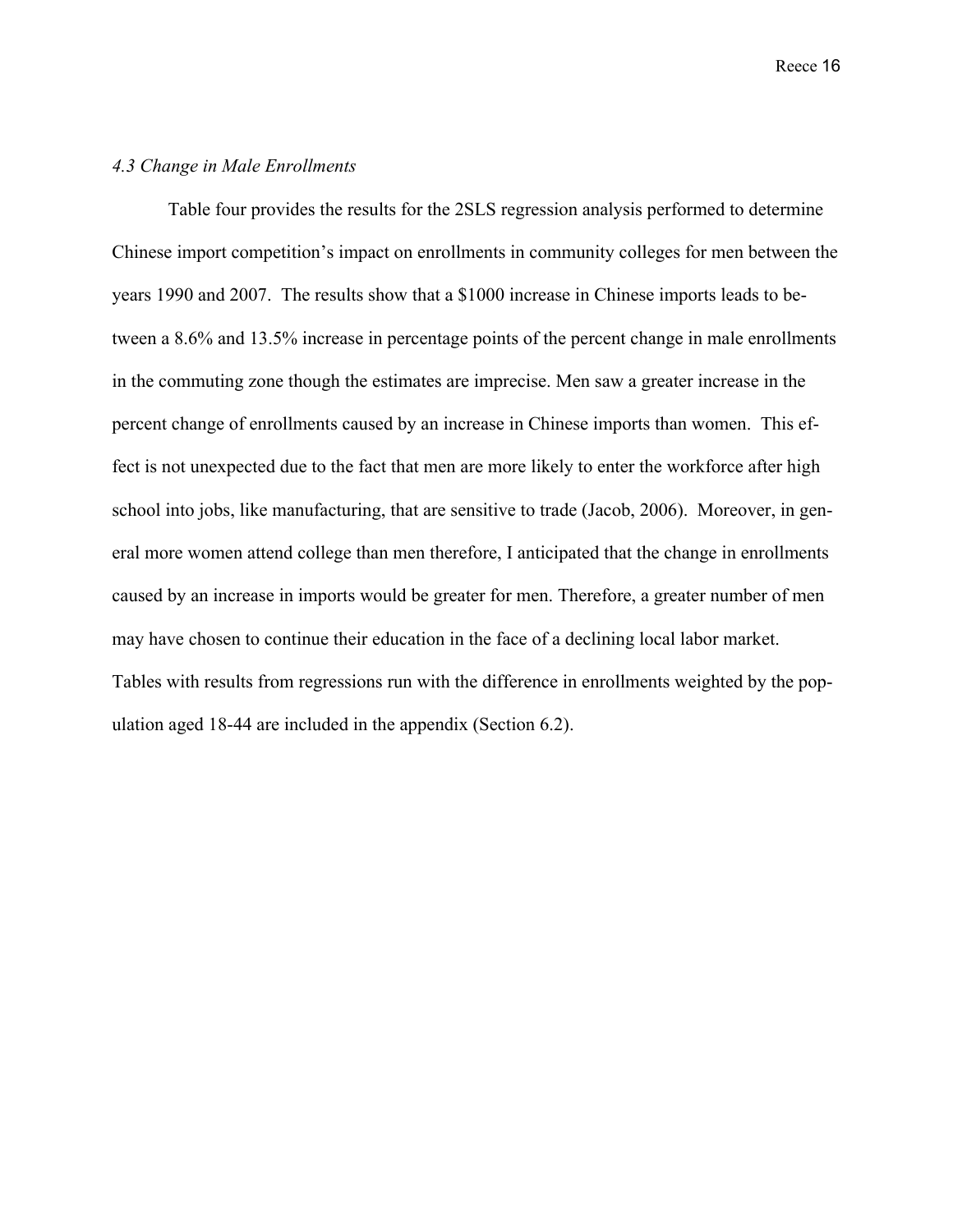#### *4.3 Change in Male Enrollments*

Table four provides the results for the 2SLS regression analysis performed to determine Chinese import competition's impact on enrollments in community colleges for men between the years 1990 and 2007. The results show that a \$1000 increase in Chinese imports leads to between a 8.6% and 13.5% increase in percentage points of the percent change in male enrollments in the commuting zone though the estimates are imprecise. Men saw a greater increase in the percent change of enrollments caused by an increase in Chinese imports than women. This effect is not unexpected due to the fact that men are more likely to enter the workforce after high school into jobs, like manufacturing, that are sensitive to trade (Jacob, 2006). Moreover, in general more women attend college than men therefore, I anticipated that the change in enrollments caused by an increase in imports would be greater for men. Therefore, a greater number of men may have chosen to continue their education in the face of a declining local labor market. Tables with results from regressions run with the difference in enrollments weighted by the population aged 18-44 are included in the appendix (Section 6.2).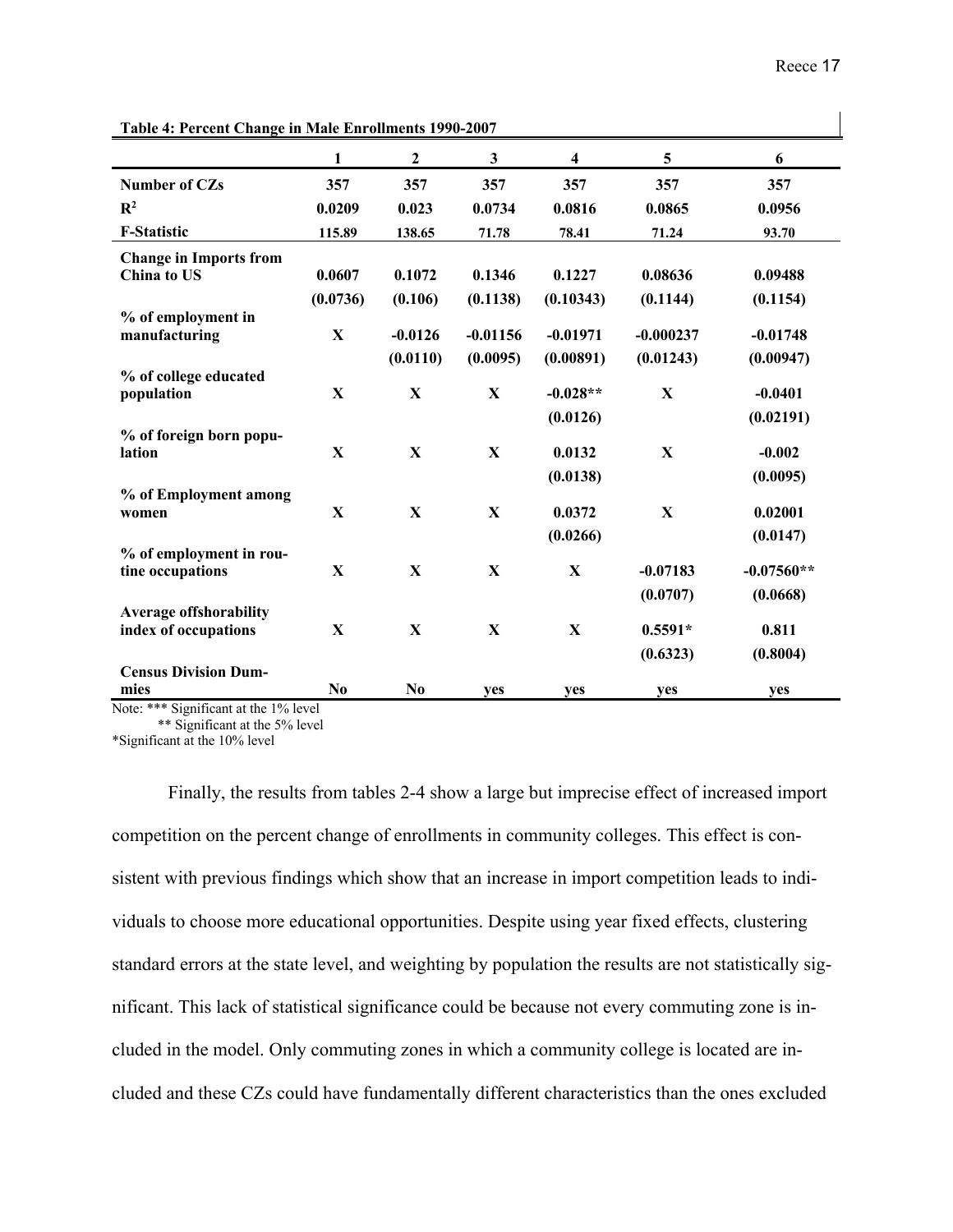| Table 4: Percent Change in Male Enrollments 1990-2007 |                |                       |                        |                         |                          |                         |
|-------------------------------------------------------|----------------|-----------------------|------------------------|-------------------------|--------------------------|-------------------------|
|                                                       | 1              | $\mathbf{2}$          | $\mathbf{3}$           | 4                       | 5                        | 6                       |
| <b>Number of CZs</b>                                  | 357            | 357                   | 357                    | 357                     | 357                      | 357                     |
| $\mathbb{R}^2$                                        | 0.0209         | 0.023                 | 0.0734                 | 0.0816                  | 0.0865                   | 0.0956                  |
| <b>F-Statistic</b>                                    | 115.89         | 138.65                | 71.78                  | 78.41                   | 71.24                    | 93.70                   |
| <b>Change in Imports from</b><br>China to US          | 0.0607         | 0.1072                | 0.1346                 | 0.1227                  | 0.08636                  | 0.09488                 |
|                                                       | (0.0736)       | (0.106)               | (0.1138)               | (0.10343)               | (0.1144)                 | (0.1154)                |
| % of employment in<br>manufacturing                   | $\mathbf X$    | $-0.0126$<br>(0.0110) | $-0.01156$<br>(0.0095) | $-0.01971$<br>(0.00891) | $-0.000237$<br>(0.01243) | $-0.01748$<br>(0.00947) |
| % of college educated                                 |                |                       |                        |                         |                          |                         |
| population                                            | X              | X                     | $\mathbf{X}$           | $-0.028**$              | $\mathbf X$              | $-0.0401$               |
|                                                       |                |                       |                        | (0.0126)                |                          | (0.02191)               |
| % of foreign born popu-<br>lation                     | X              | X                     | $\mathbf{X}$           | 0.0132                  | $\mathbf{X}$             | $-0.002$                |
|                                                       |                |                       |                        | (0.0138)                |                          | (0.0095)                |
| % of Employment among                                 |                |                       |                        |                         |                          |                         |
| women                                                 | $\mathbf X$    | $\mathbf X$           | $\mathbf X$            | 0.0372                  | X                        | 0.02001                 |
| % of employment in rou-                               |                |                       |                        | (0.0266)                |                          | (0.0147)                |
| tine occupations                                      | X              | $\mathbf X$           | $\mathbf X$            | $\mathbf X$             | $-0.07183$               | $-0.07560**$            |
|                                                       |                |                       |                        |                         | (0.0707)                 | (0.0668)                |
| <b>Average offshorability</b>                         |                |                       |                        |                         |                          |                         |
| index of occupations                                  | X              | $\mathbf{X}$          | $\mathbf{X}$           | $\mathbf{X}$            | $0.5591*$                | 0.811                   |
|                                                       |                |                       |                        |                         | (0.6323)                 | (0.8004)                |
| <b>Census Division Dum-</b><br>mies                   | N <sub>0</sub> | $\bf No$              | ves                    | ves                     | yes                      | ves                     |
| should be a more<br>$\cdot$ $\sim$<br>10/1            |                |                       |                        |                         |                          |                         |

**Table 4: Percent Change in Male Enrollments 1990-2007**

Note: \*\*\* Significant at the 1% level

\*\* Significant at the 5% level

\*Significant at the 10% level

Finally, the results from tables 2-4 show a large but imprecise effect of increased import competition on the percent change of enrollments in community colleges. This effect is consistent with previous findings which show that an increase in import competition leads to individuals to choose more educational opportunities. Despite using year fixed effects, clustering standard errors at the state level, and weighting by population the results are not statistically significant. This lack of statistical significance could be because not every commuting zone is included in the model. Only commuting zones in which a community college is located are included and these CZs could have fundamentally different characteristics than the ones excluded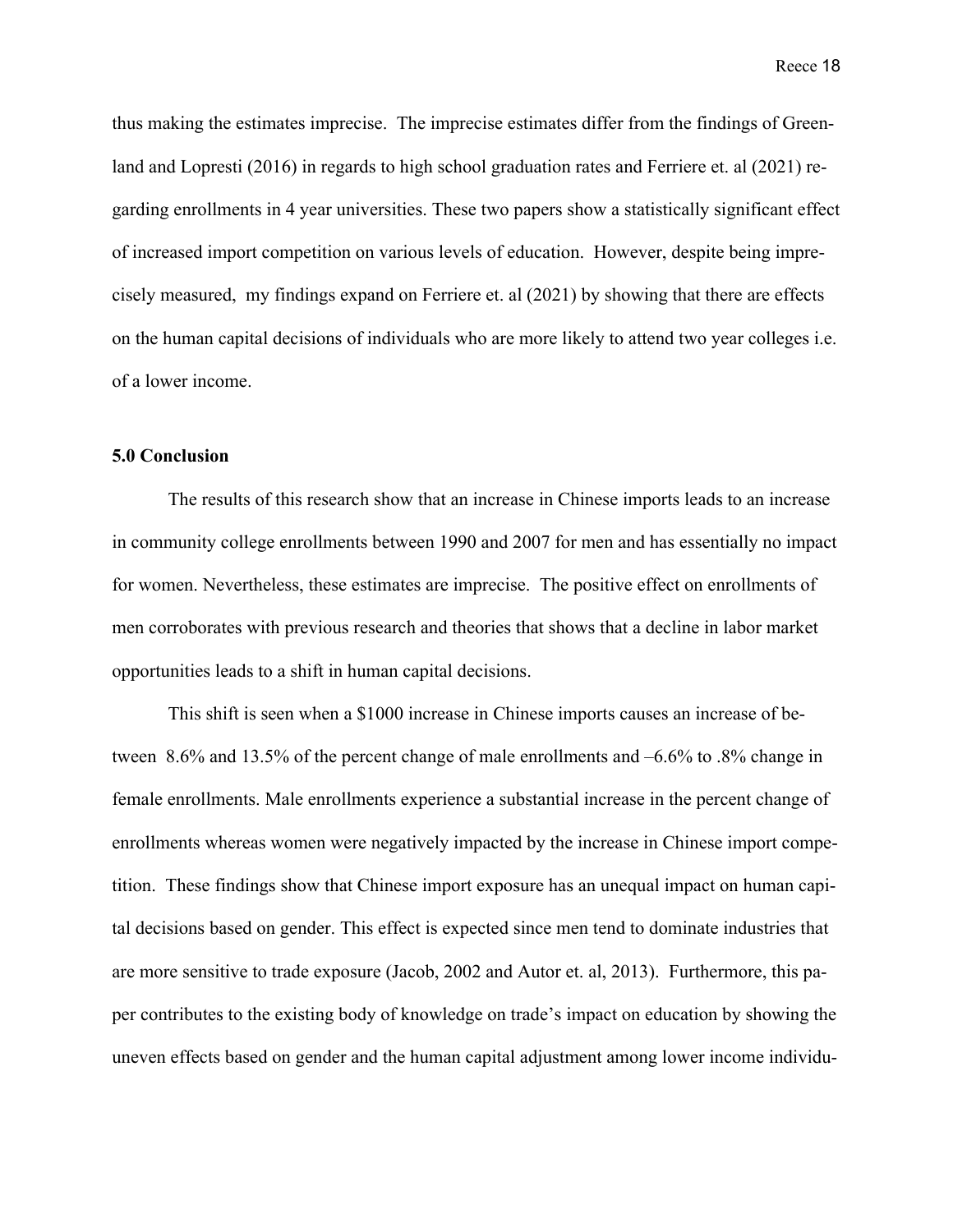thus making the estimates imprecise. The imprecise estimates differ from the findings of Greenland and Lopresti (2016) in regards to high school graduation rates and Ferriere et. al (2021) regarding enrollments in 4 year universities. These two papers show a statistically significant effect of increased import competition on various levels of education. However, despite being imprecisely measured, my findings expand on Ferriere et. al (2021) by showing that there are effects on the human capital decisions of individuals who are more likely to attend two year colleges i.e. of a lower income.

#### **5.0 Conclusion**

The results of this research show that an increase in Chinese imports leads to an increase in community college enrollments between 1990 and 2007 for men and has essentially no impact for women. Nevertheless, these estimates are imprecise. The positive effect on enrollments of men corroborates with previous research and theories that shows that a decline in labor market opportunities leads to a shift in human capital decisions.

This shift is seen when a \$1000 increase in Chinese imports causes an increase of between 8.6% and 13.5% of the percent change of male enrollments and –6.6% to .8% change in female enrollments. Male enrollments experience a substantial increase in the percent change of enrollments whereas women were negatively impacted by the increase in Chinese import competition. These findings show that Chinese import exposure has an unequal impact on human capital decisions based on gender. This effect is expected since men tend to dominate industries that are more sensitive to trade exposure (Jacob, 2002 and Autor et. al, 2013). Furthermore, this paper contributes to the existing body of knowledge on trade's impact on education by showing the uneven effects based on gender and the human capital adjustment among lower income individu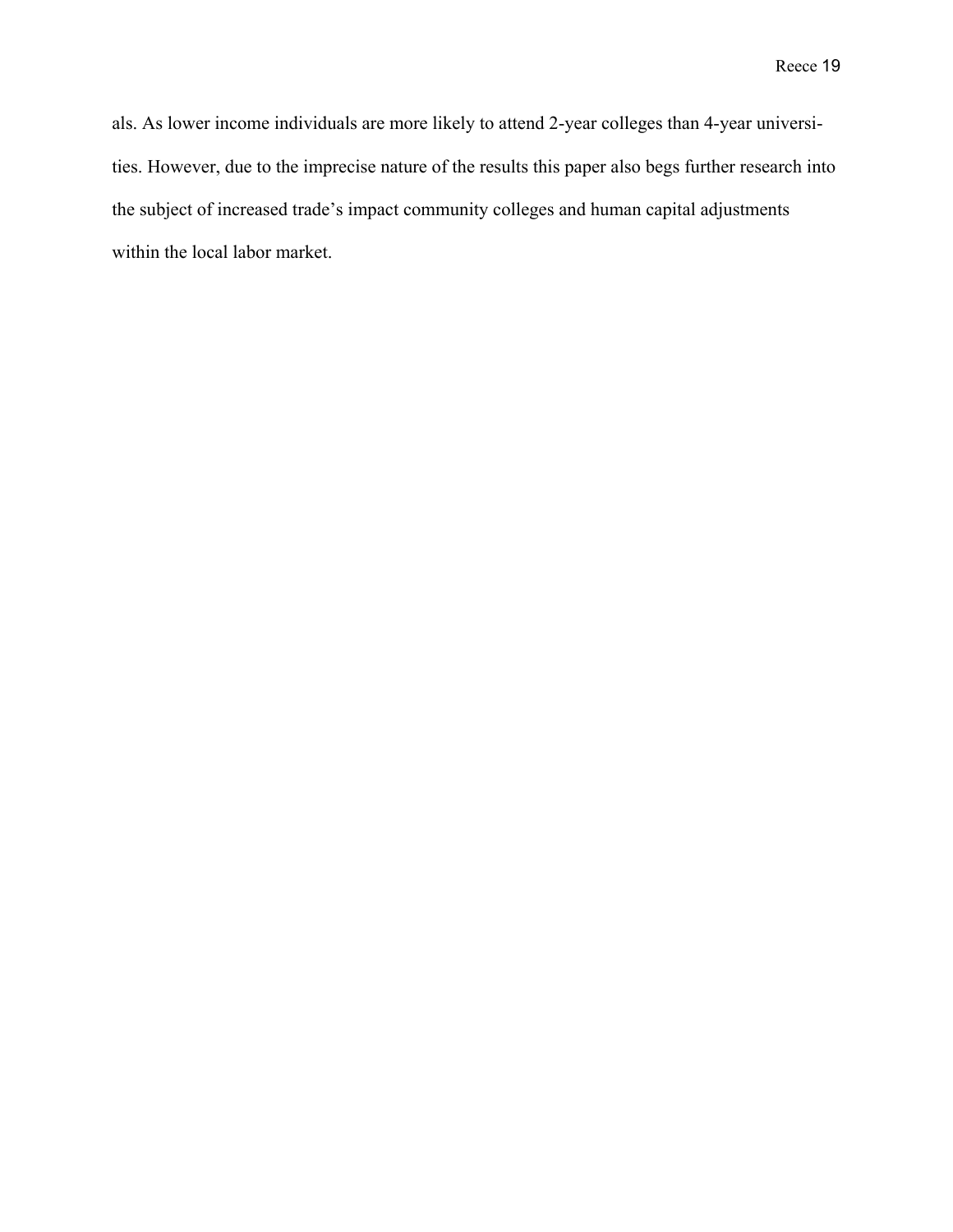als. As lower income individuals are more likely to attend 2-year colleges than 4-year universities. However, due to the imprecise nature of the results this paper also begs further research into the subject of increased trade's impact community colleges and human capital adjustments within the local labor market.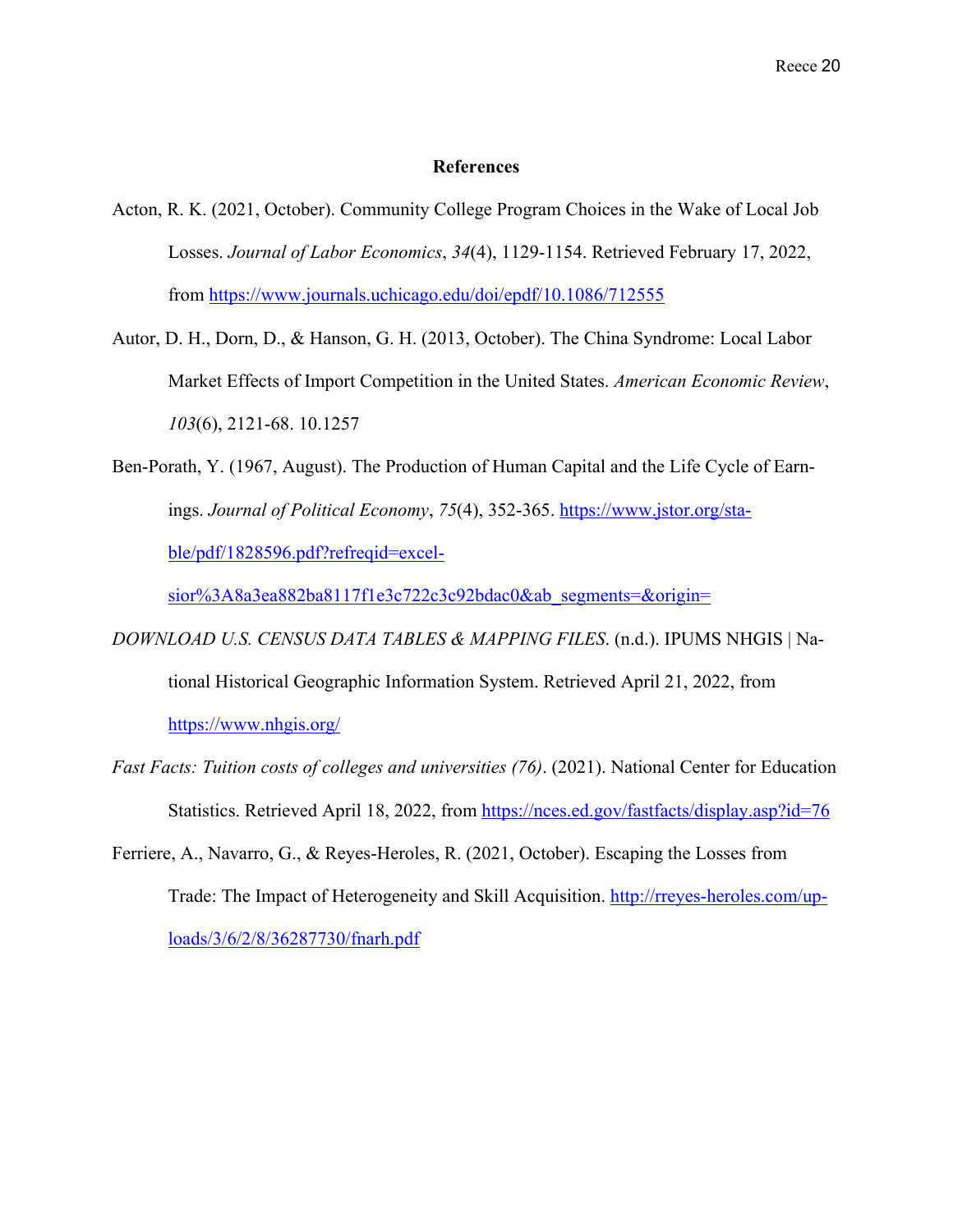#### **References**

- Acton, R. K. (2021, October). Community College Program Choices in the Wake of Local Job Losses. *Journal of Labor Economics*, *34*(4), 1129-1154. Retrieved February 17, 2022, from https://www.journals.uchicago.edu/doi/epdf/10.1086/712555
- Autor, D. H., Dorn, D., & Hanson, G. H. (2013, October). The China Syndrome: Local Labor Market Effects of Import Competition in the United States. *American Economic Review*, *103*(6), 2121-68. 10.1257
- Ben-Porath, Y. (1967, August). The Production of Human Capital and the Life Cycle of Earnings. *Journal of Political Economy*, *75*(4), 352-365. https://www.jstor.org/stable/pdf/1828596.pdf?refreqid=excel-

sior%3A8a3ea882ba8117f1e3c722c3c92bdac0&ab segments=&origin=

- *DOWNLOAD U.S. CENSUS DATA TABLES & MAPPING FILES*. (n.d.). IPUMS NHGIS | National Historical Geographic Information System. Retrieved April 21, 2022, from https://www.nhgis.org/
- *Fast Facts: Tuition costs of colleges and universities (76)*. (2021). National Center for Education Statistics. Retrieved April 18, 2022, from https://nces.ed.gov/fastfacts/display.asp?id=76
- Ferriere, A., Navarro, G., & Reyes-Heroles, R. (2021, October). Escaping the Losses from Trade: The Impact of Heterogeneity and Skill Acquisition. http://rreyes-heroles.com/uploads/3/6/2/8/36287730/fnarh.pdf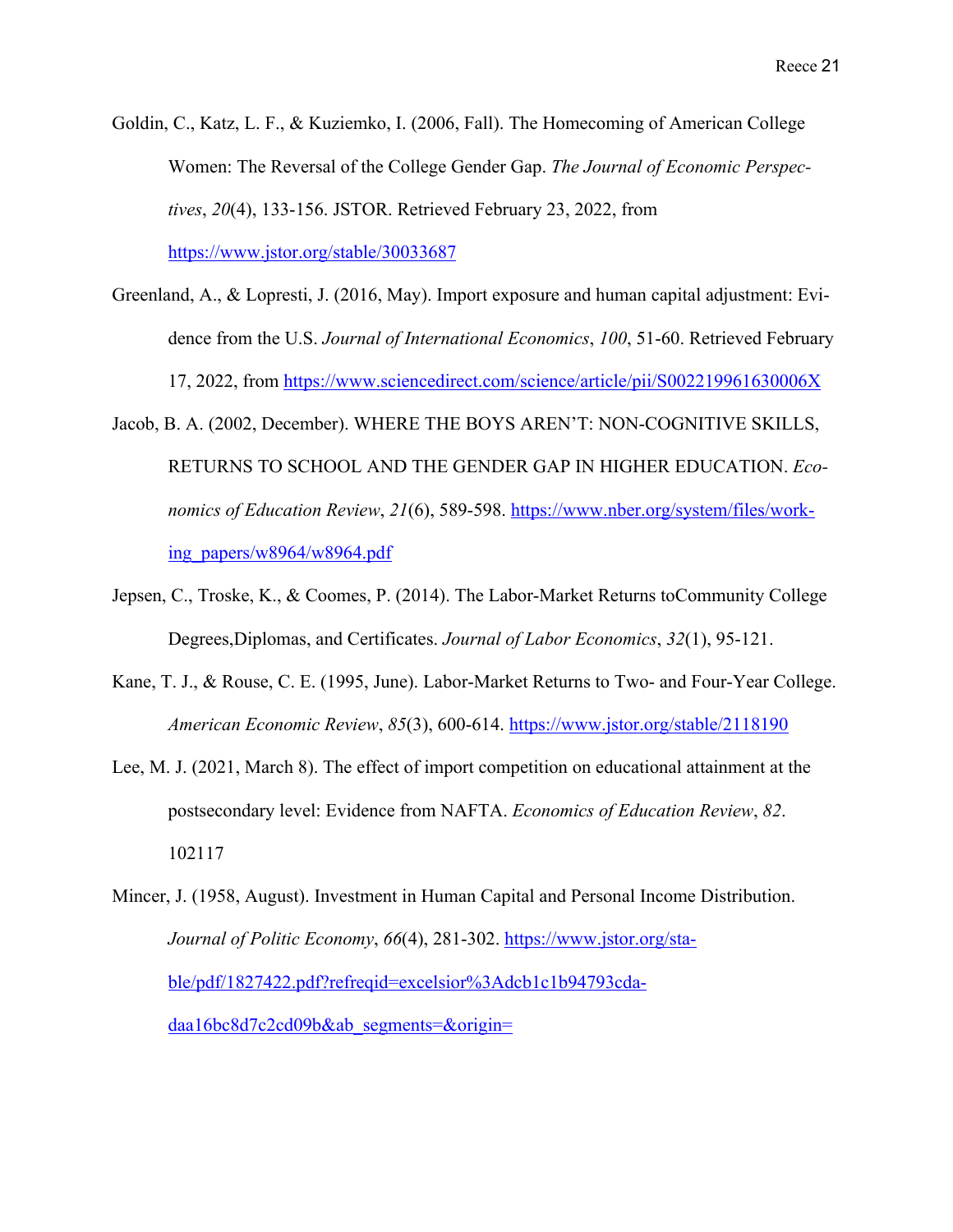- Goldin, C., Katz, L. F., & Kuziemko, I. (2006, Fall). The Homecoming of American College Women: The Reversal of the College Gender Gap. *The Journal of Economic Perspectives*, *20*(4), 133-156. JSTOR. Retrieved February 23, 2022, from https://www.jstor.org/stable/30033687
- Greenland, A., & Lopresti, J. (2016, May). Import exposure and human capital adjustment: Evidence from the U.S. *Journal of International Economics*, *100*, 51-60. Retrieved February 17, 2022, from https://www.sciencedirect.com/science/article/pii/S002219961630006X
- Jacob, B. A. (2002, December). WHERE THE BOYS AREN'T: NON-COGNITIVE SKILLS, RETURNS TO SCHOOL AND THE GENDER GAP IN HIGHER EDUCATION. *Economics of Education Review*, *21*(6), 589-598. https://www.nber.org/system/files/working\_papers/w8964/w8964.pdf
- Jepsen, C., Troske, K., & Coomes, P. (2014). The Labor-Market Returns toCommunity College Degrees,Diplomas, and Certificates. *Journal of Labor Economics*, *32*(1), 95-121.
- Kane, T. J., & Rouse, C. E. (1995, June). Labor-Market Returns to Two- and Four-Year College. *American Economic Review*, *85*(3), 600-614. https://www.jstor.org/stable/2118190
- Lee, M. J. (2021, March 8). The effect of import competition on educational attainment at the postsecondary level: Evidence from NAFTA. *Economics of Education Review*, *82*. 102117
- Mincer, J. (1958, August). Investment in Human Capital and Personal Income Distribution. *Journal of Politic Economy*, *66*(4), 281-302. https://www.jstor.org/stable/pdf/1827422.pdf?refreqid=excelsior%3Adcb1c1b94793cdadaa16bc8d7c2cd09b&ab\_segments=&origin=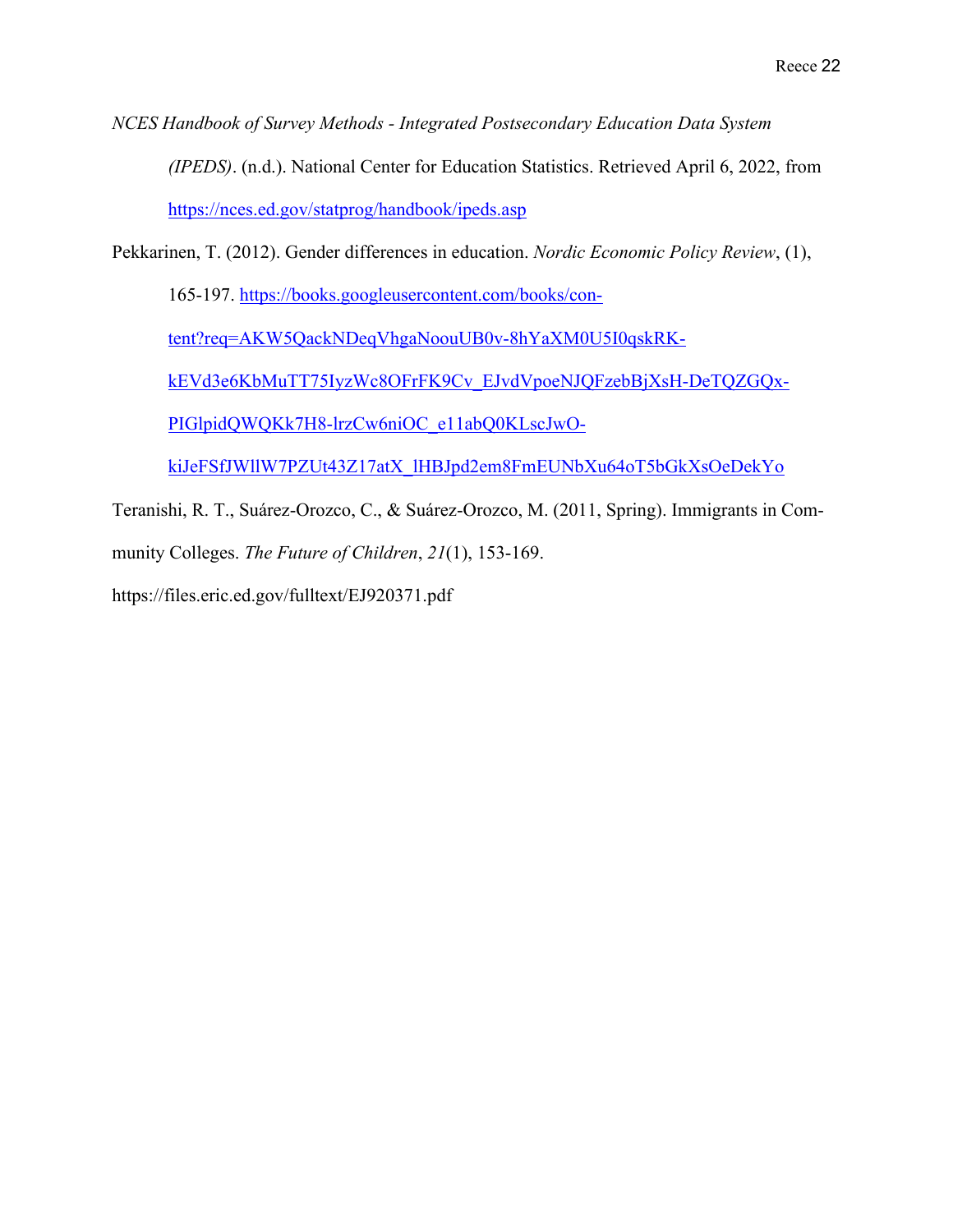*NCES Handbook of Survey Methods - Integrated Postsecondary Education Data System (IPEDS)*. (n.d.). National Center for Education Statistics. Retrieved April 6, 2022, from https://nces.ed.gov/statprog/handbook/ipeds.asp

Pekkarinen, T. (2012). Gender differences in education. *Nordic Economic Policy Review*, (1),

165-197. https://books.googleusercontent.com/books/con-

tent?req=AKW5QackNDeqVhgaNoouUB0v-8hYaXM0U5I0qskRK-

kEVd3e6KbMuTT75IyzWc8OFrFK9Cv\_EJvdVpoeNJQFzebBjXsH-DeTQZGQx-

PIGlpidQWQKk7H8-lrzCw6niOC\_e11abQ0KLscJwO-

kiJeFSfJWllW7PZUt43Z17atX\_lHBJpd2em8FmEUNbXu64oT5bGkXsOeDekYo

Teranishi, R. T., Suárez-Orozco, C., & Suárez-Orozco, M. (2011, Spring). Immigrants in Community Colleges. *The Future of Children*, *21*(1), 153-169.

https://files.eric.ed.gov/fulltext/EJ920371.pdf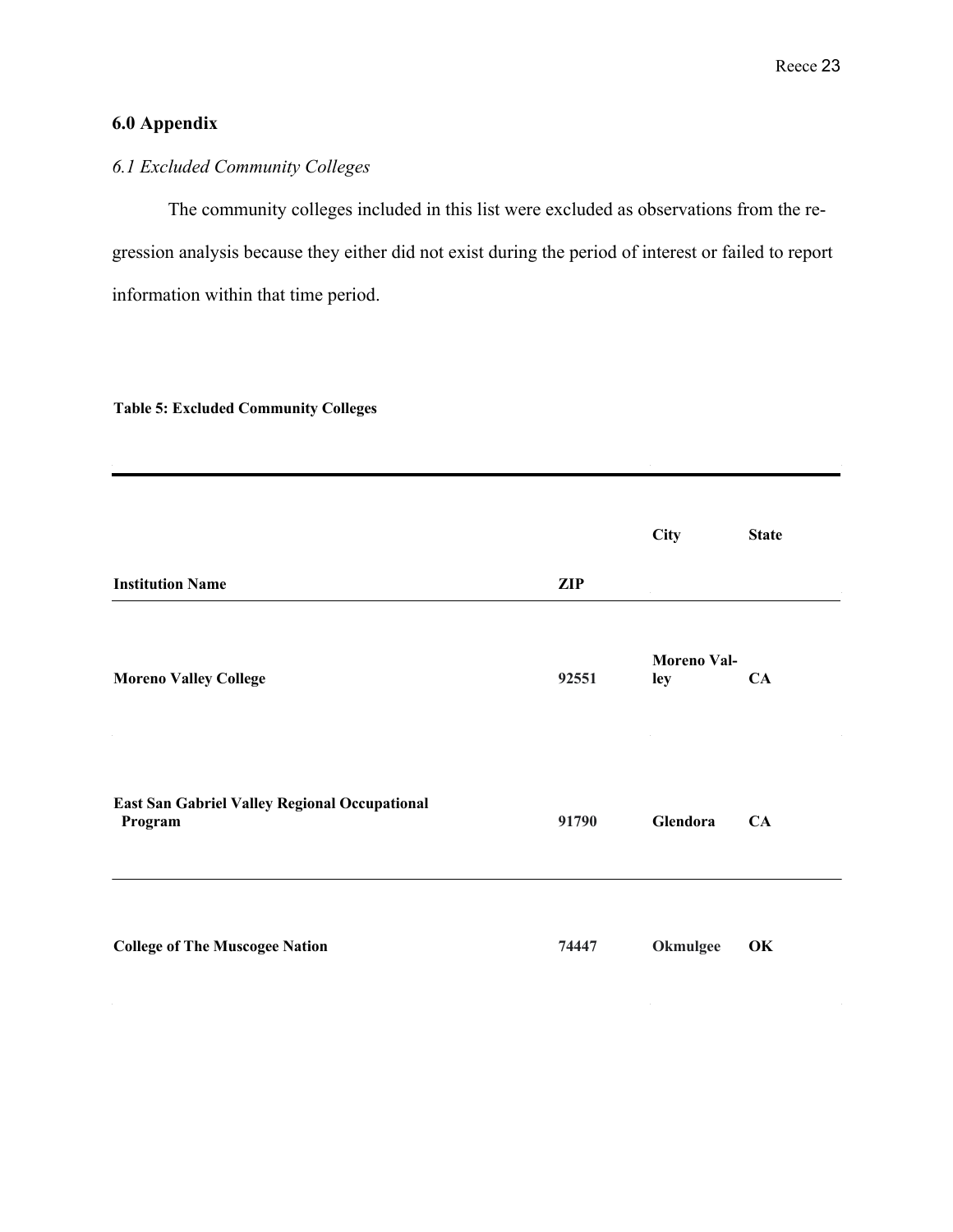# **6.0 Appendix**

# *6.1 Excluded Community Colleges*

The community colleges included in this list were excluded as observations from the regression analysis because they either did not exist during the period of interest or failed to report information within that time period.

#### **Table 5: Excluded Community Colleges**

|                                                          |            | City                      | <b>State</b> |
|----------------------------------------------------------|------------|---------------------------|--------------|
| <b>Institution Name</b>                                  | <b>ZIP</b> |                           |              |
| <b>Moreno Valley College</b>                             | 92551      | <b>Moreno Val-</b><br>ley | CA           |
| East San Gabriel Valley Regional Occupational<br>Program | 91790      | Glendora                  | CA           |
| <b>College of The Muscogee Nation</b>                    | 74447      | Okmulgee                  | OK           |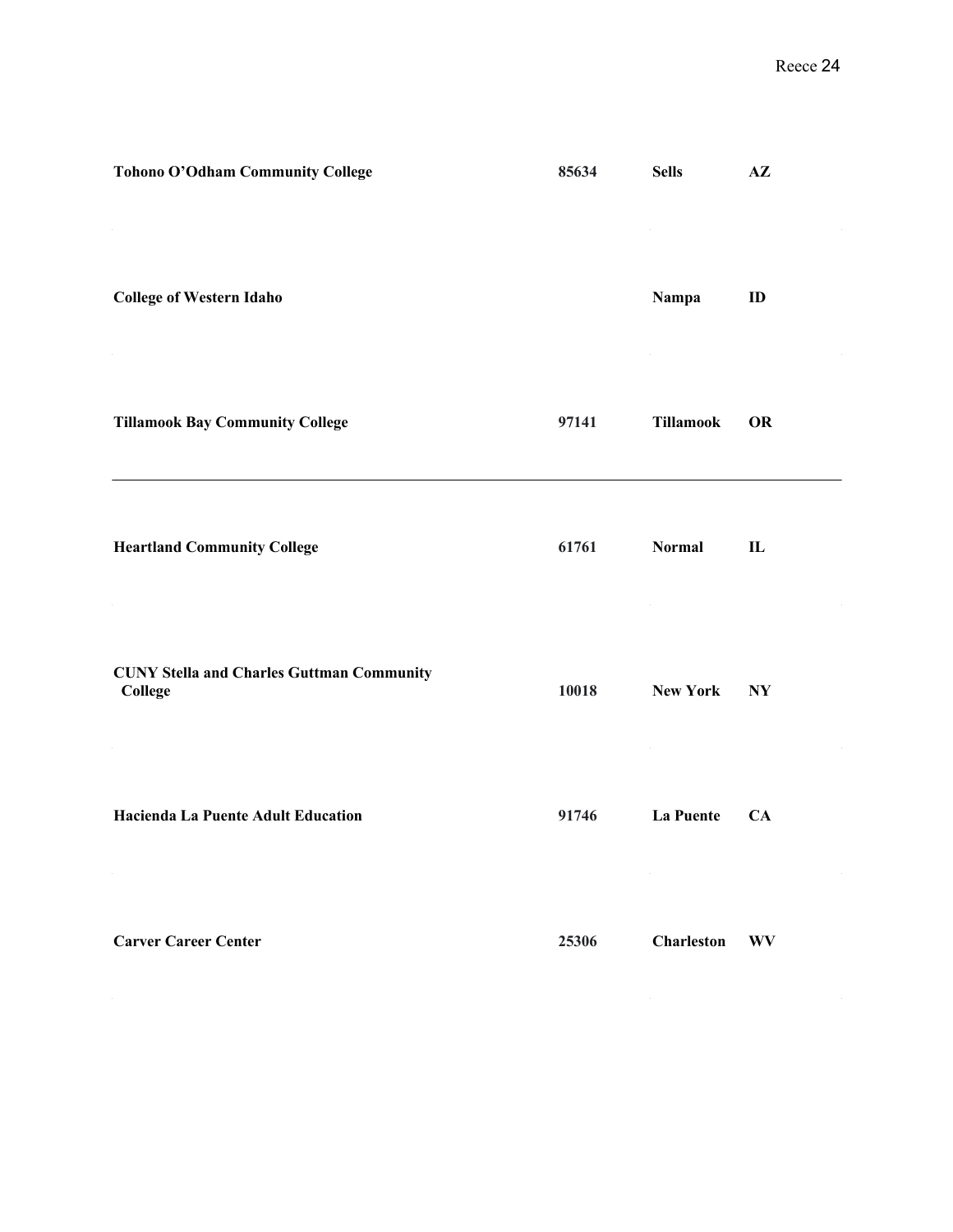| Tohono O'Odham Community College                            | 85634 | <b>Sells</b>      | $A\mathbf{Z}$ |
|-------------------------------------------------------------|-------|-------------------|---------------|
| <b>College of Western Idaho</b>                             |       | Nampa             | ID            |
| <b>Tillamook Bay Community College</b>                      | 97141 | <b>Tillamook</b>  | <b>OR</b>     |
| <b>Heartland Community College</b>                          | 61761 | <b>Normal</b>     | $\mathbf{L}$  |
| <b>CUNY Stella and Charles Guttman Community</b><br>College | 10018 | <b>New York</b>   | <b>NY</b>     |
| Hacienda La Puente Adult Education                          | 91746 | <b>La Puente</b>  | CA            |
| <b>Carver Career Center</b>                                 | 25306 | <b>Charleston</b> | <b>WV</b>     |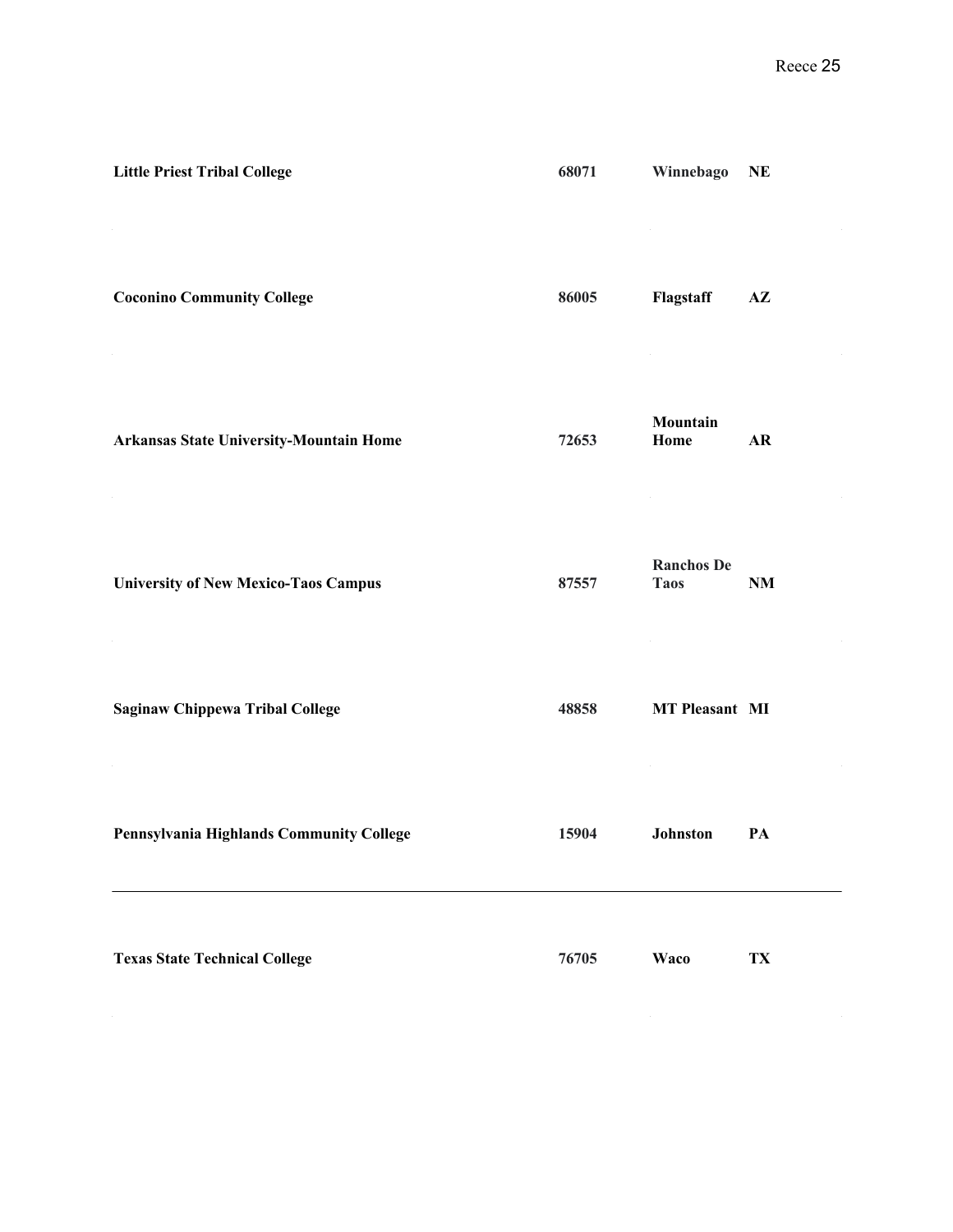| <b>Little Priest Tribal College</b>            | 68071 | Winnebago                        | <b>NE</b>     |
|------------------------------------------------|-------|----------------------------------|---------------|
| <b>Coconino Community College</b>              | 86005 | Flagstaff                        | $A\mathbf{Z}$ |
| <b>Arkansas State University-Mountain Home</b> | 72653 | Mountain<br>Home                 | AR            |
| <b>University of New Mexico-Taos Campus</b>    | 87557 | <b>Ranchos De</b><br><b>Taos</b> | <b>NM</b>     |
| <b>Saginaw Chippewa Tribal College</b>         | 48858 | <b>MT Pleasant MI</b>            |               |
| Pennsylvania Highlands Community College       | 15904 | Johnston                         | PA            |
| <b>Texas State Technical College</b>           | 76705 | Waco                             | TX            |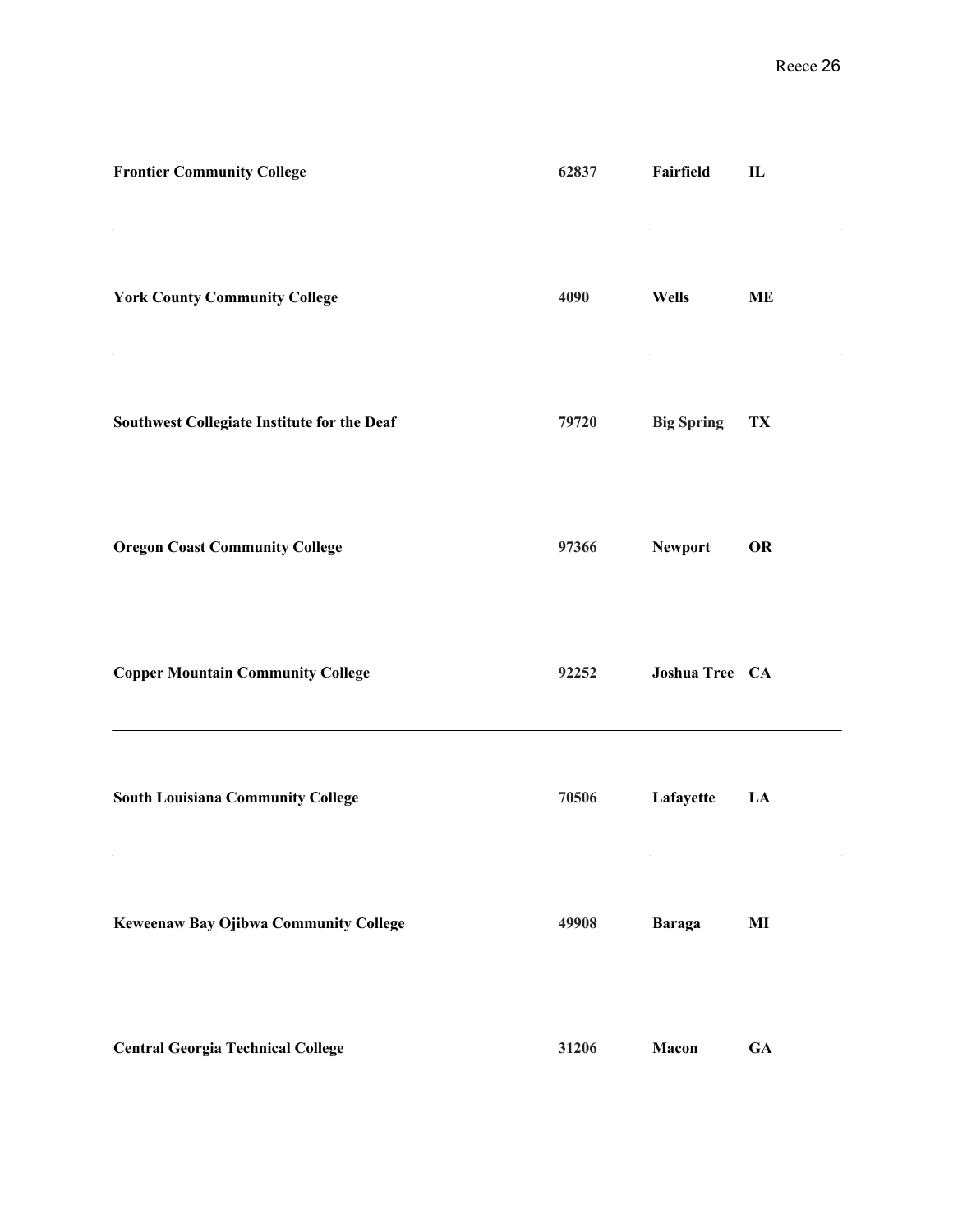| <b>Frontier Community College</b>            | 62837 | Fairfield         | $\mathbf{I}$ |
|----------------------------------------------|-------|-------------------|--------------|
| <b>York County Community College</b>         | 4090  | <b>Wells</b>      | <b>ME</b>    |
| Southwest Collegiate Institute for the Deaf  | 79720 | <b>Big Spring</b> | TX           |
| <b>Oregon Coast Community College</b>        | 97366 | <b>Newport</b>    | <b>OR</b>    |
| <b>Copper Mountain Community College</b>     | 92252 | Joshua Tree CA    |              |
| <b>South Louisiana Community College</b>     | 70506 | Lafayette         | LA           |
| <b>Keweenaw Bay Ojibwa Community College</b> | 49908 | <b>Baraga</b>     | $\bf{MI}$    |
| <b>Central Georgia Technical College</b>     | 31206 | Macon             | ${\bf GA}$   |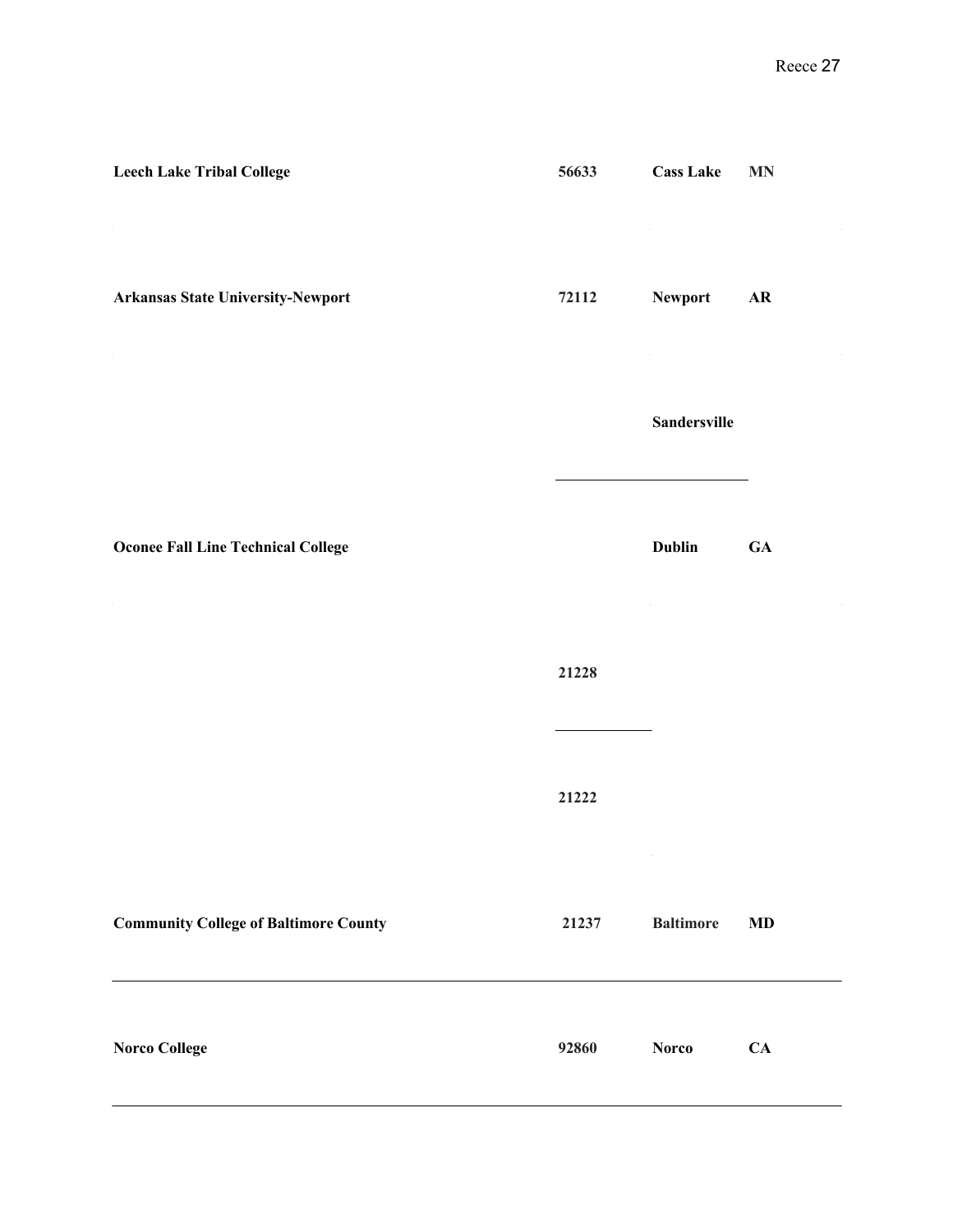| <b>Leech Lake Tribal College</b>             | 56633 | <b>Cass Lake</b>    | <b>MN</b>  |
|----------------------------------------------|-------|---------------------|------------|
| <b>Arkansas State University-Newport</b>     | 72112 | Newport             | ${\bf AR}$ |
|                                              |       | <b>Sandersville</b> |            |
| <b>Oconee Fall Line Technical College</b>    |       | <b>Dublin</b>       | <b>GA</b>  |
|                                              | 21228 |                     |            |
|                                              | 21222 |                     |            |
| <b>Community College of Baltimore County</b> | 21237 | <b>Baltimore</b>    | <b>MD</b>  |
| <b>Norco College</b>                         | 92860 | <b>Norco</b>        | CA         |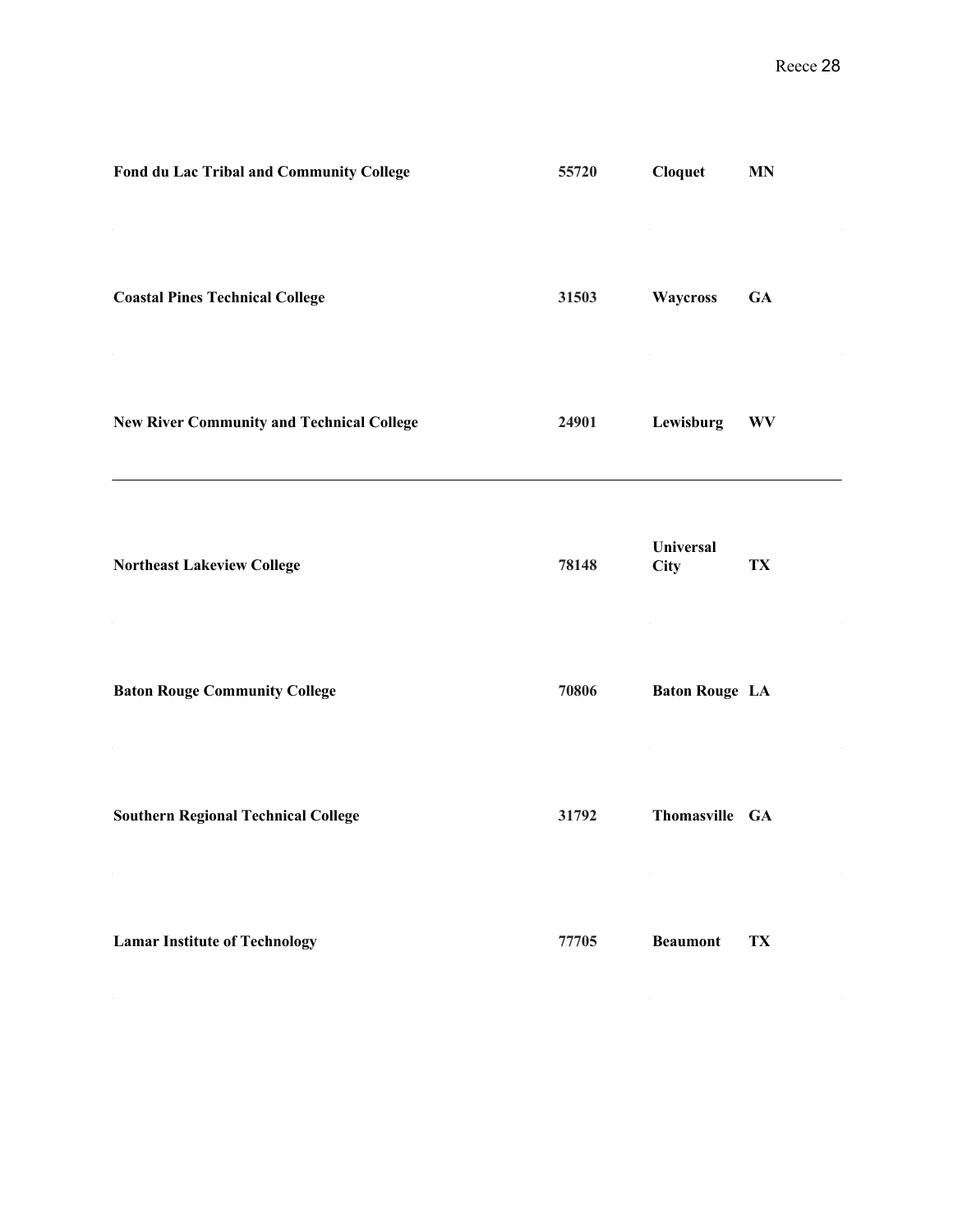| Fond du Lac Tribal and Community College         | 55720 | <b>Cloquet</b>           | MN        |
|--------------------------------------------------|-------|--------------------------|-----------|
| <b>Coastal Pines Technical College</b>           | 31503 | Waycross                 | <b>GA</b> |
| <b>New River Community and Technical College</b> | 24901 | Lewisburg                | <b>WV</b> |
| <b>Northeast Lakeview College</b>                | 78148 | <b>Universal</b><br>City | TX        |
| <b>Baton Rouge Community College</b>             | 70806 | <b>Baton Rouge LA</b>    |           |
| <b>Southern Regional Technical College</b>       | 31792 | Thomasville GA           |           |
| <b>Lamar Institute of Technology</b>             | 77705 | <b>Beaumont</b>          | TX        |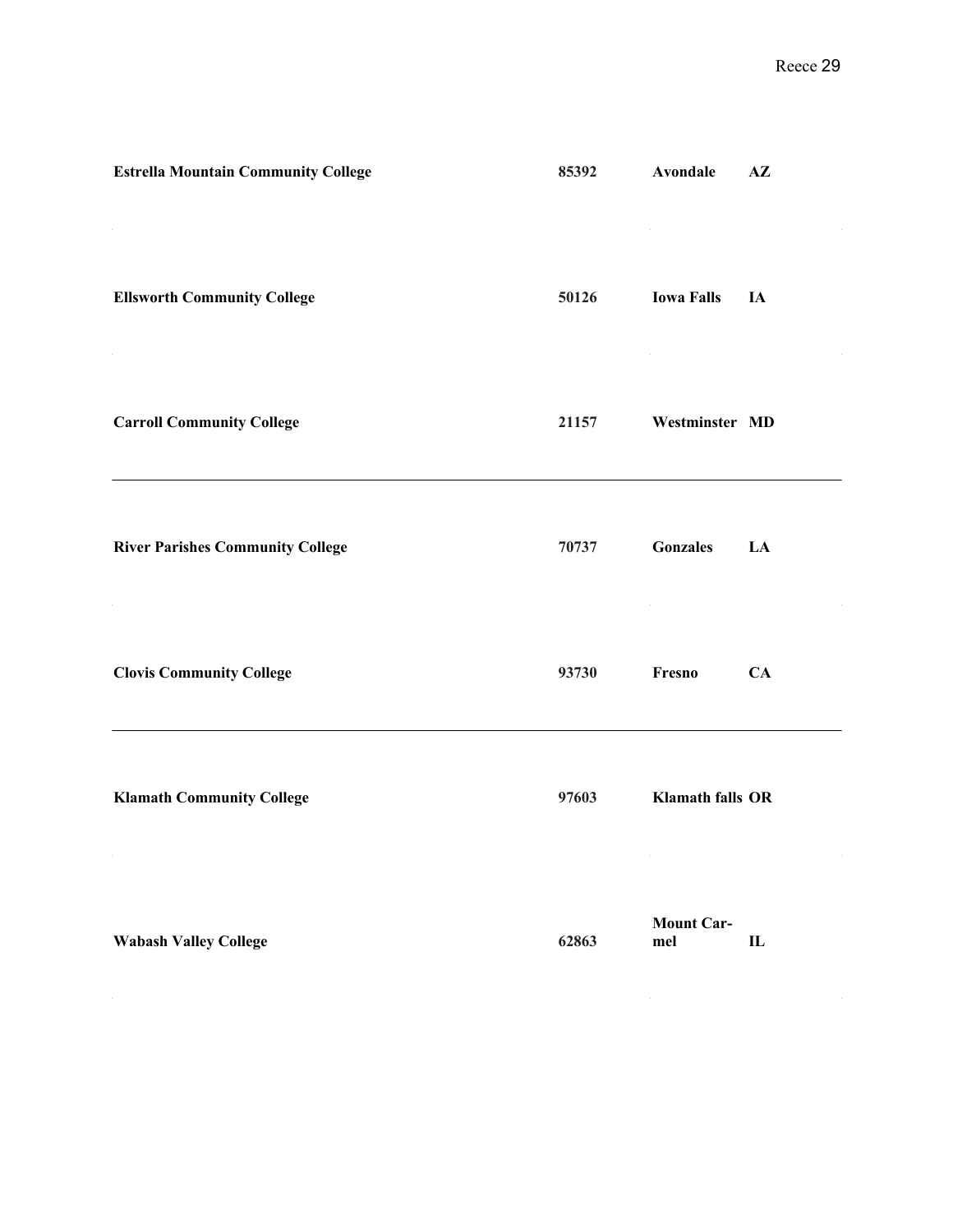| <b>Estrella Mountain Community College</b> | 85392 | Avondale                | $A\mathbf{Z}$ |
|--------------------------------------------|-------|-------------------------|---------------|
| <b>Ellsworth Community College</b>         | 50126 | <b>Iowa Falls</b>       | IA            |
| <b>Carroll Community College</b>           | 21157 | Westminster MD          |               |
| <b>River Parishes Community College</b>    | 70737 | <b>Gonzales</b>         | LA            |
| <b>Clovis Community College</b>            | 93730 | Fresno                  | CA            |
| <b>Klamath Community College</b>           | 97603 | <b>Klamath falls OR</b> |               |
|                                            |       | Mount $Car_$            |               |

|                              |       | Mount Car- |  |
|------------------------------|-------|------------|--|
| <b>Wabash Valley College</b> | 62863 | mel        |  |
|                              |       |            |  |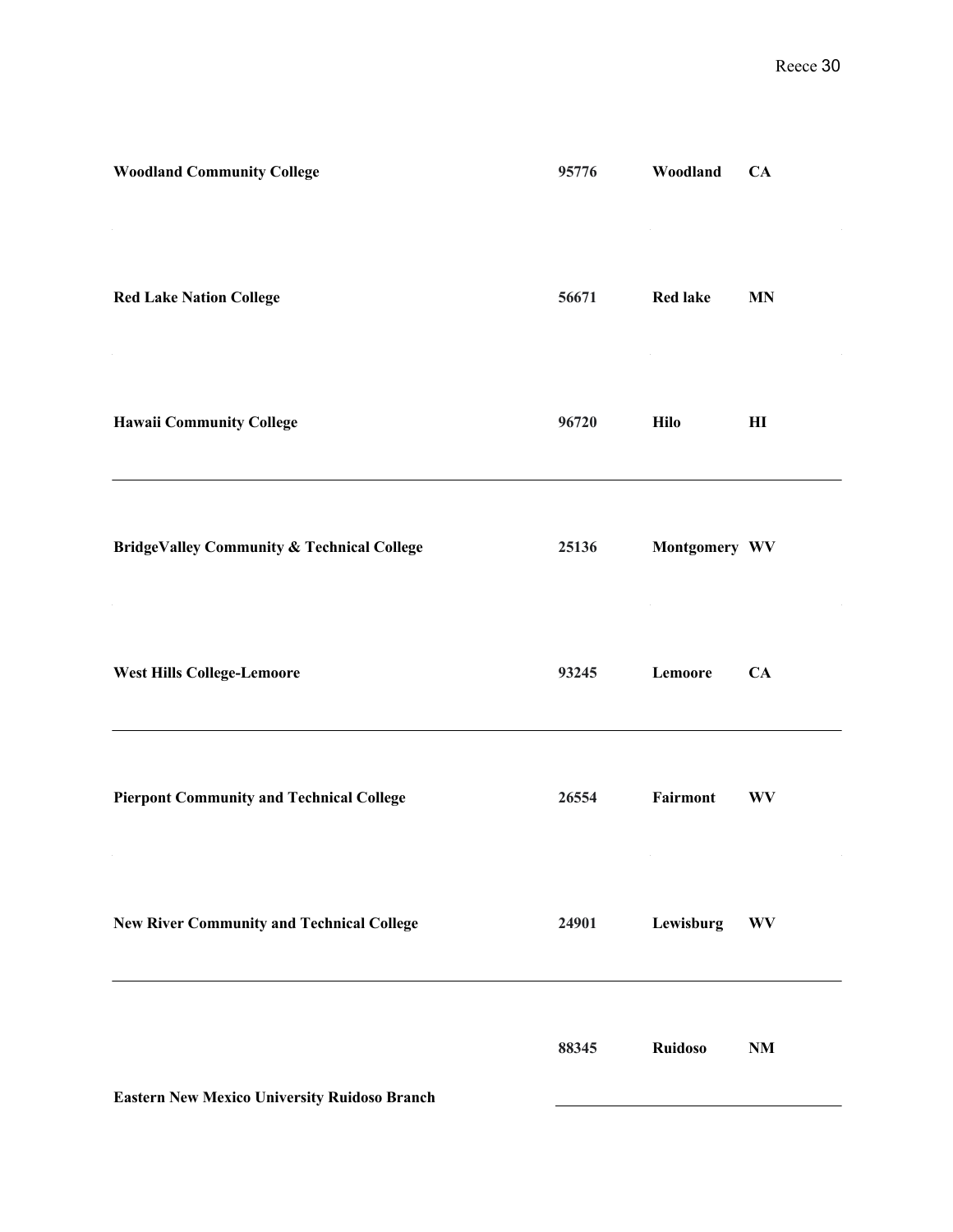| <b>Woodland Community College</b>                     | 95776 | Woodland        | CA                     |
|-------------------------------------------------------|-------|-----------------|------------------------|
| <b>Red Lake Nation College</b>                        | 56671 | <b>Red lake</b> | <b>MN</b>              |
| <b>Hawaii Community College</b>                       | 96720 | <b>Hilo</b>     | $\mathbf{H}$           |
| <b>BridgeValley Community &amp; Technical College</b> | 25136 | Montgomery WV   |                        |
| <b>West Hills College-Lemoore</b>                     | 93245 | Lemoore         | CA                     |
| <b>Pierpont Community and Technical College</b>       | 26554 | Fairmont        | <b>WV</b>              |
| <b>New River Community and Technical College</b>      | 24901 | Lewisburg       | <b>WV</b>              |
|                                                       | 88345 | <b>Ruidoso</b>  | $\mathbf{N}\mathbf{M}$ |

**Eastern New Mexico University Ruidoso Branch**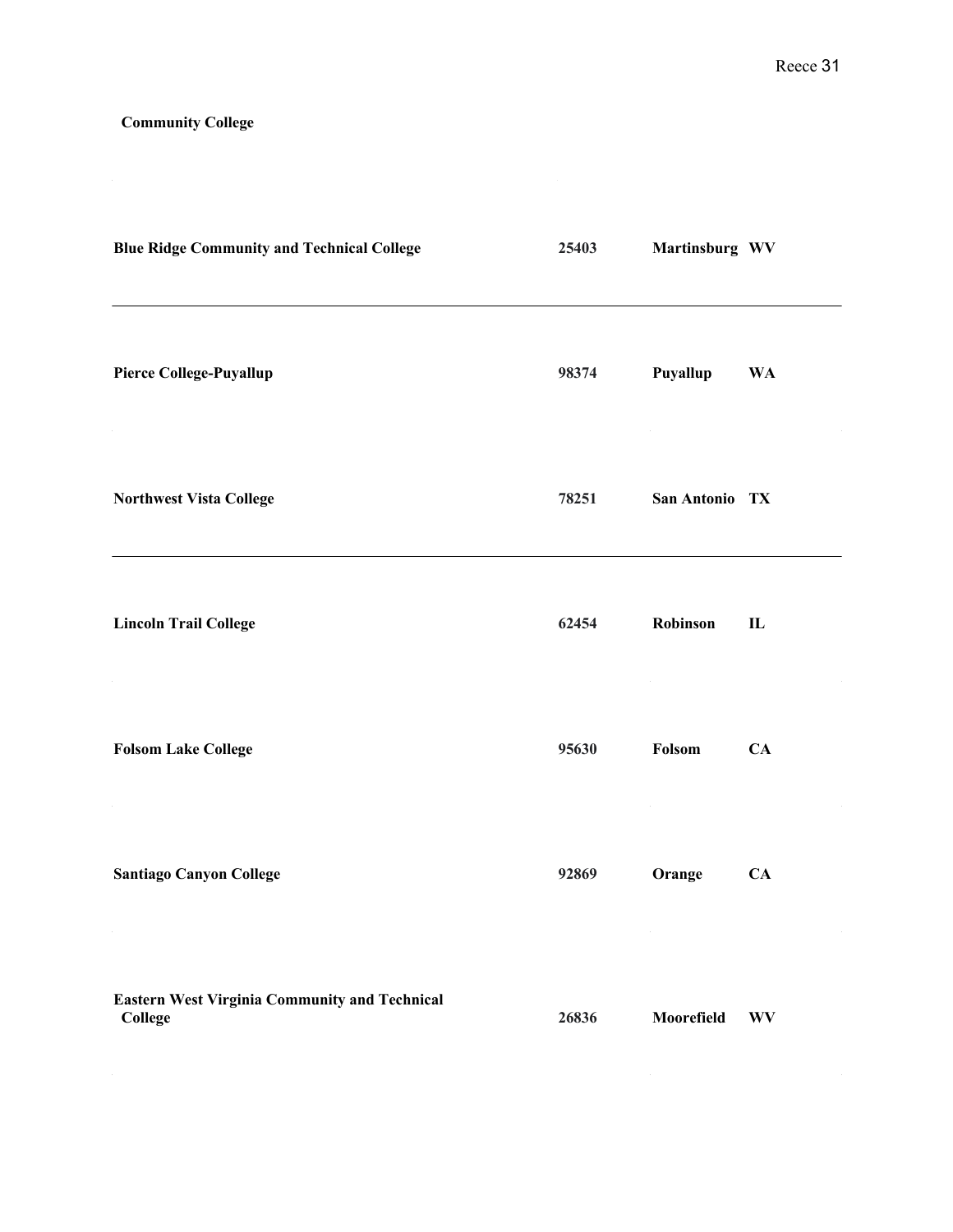## **Community College**

| <b>Blue Ridge Community and Technical College</b>               | 25403 | Martinsburg WV |              |
|-----------------------------------------------------------------|-------|----------------|--------------|
| <b>Pierce College-Puyallup</b>                                  | 98374 | Puyallup       | <b>WA</b>    |
| <b>Northwest Vista College</b>                                  | 78251 | San Antonio TX |              |
| <b>Lincoln Trail College</b>                                    | 62454 | Robinson       | $\mathbf{L}$ |
| <b>Folsom Lake College</b>                                      | 95630 | Folsom         | CA           |
| <b>Santiago Canyon College</b>                                  | 92869 | Orange         | CA           |
| <b>Eastern West Virginia Community and Technical</b><br>College | 26836 | Moorefield     | <b>WV</b>    |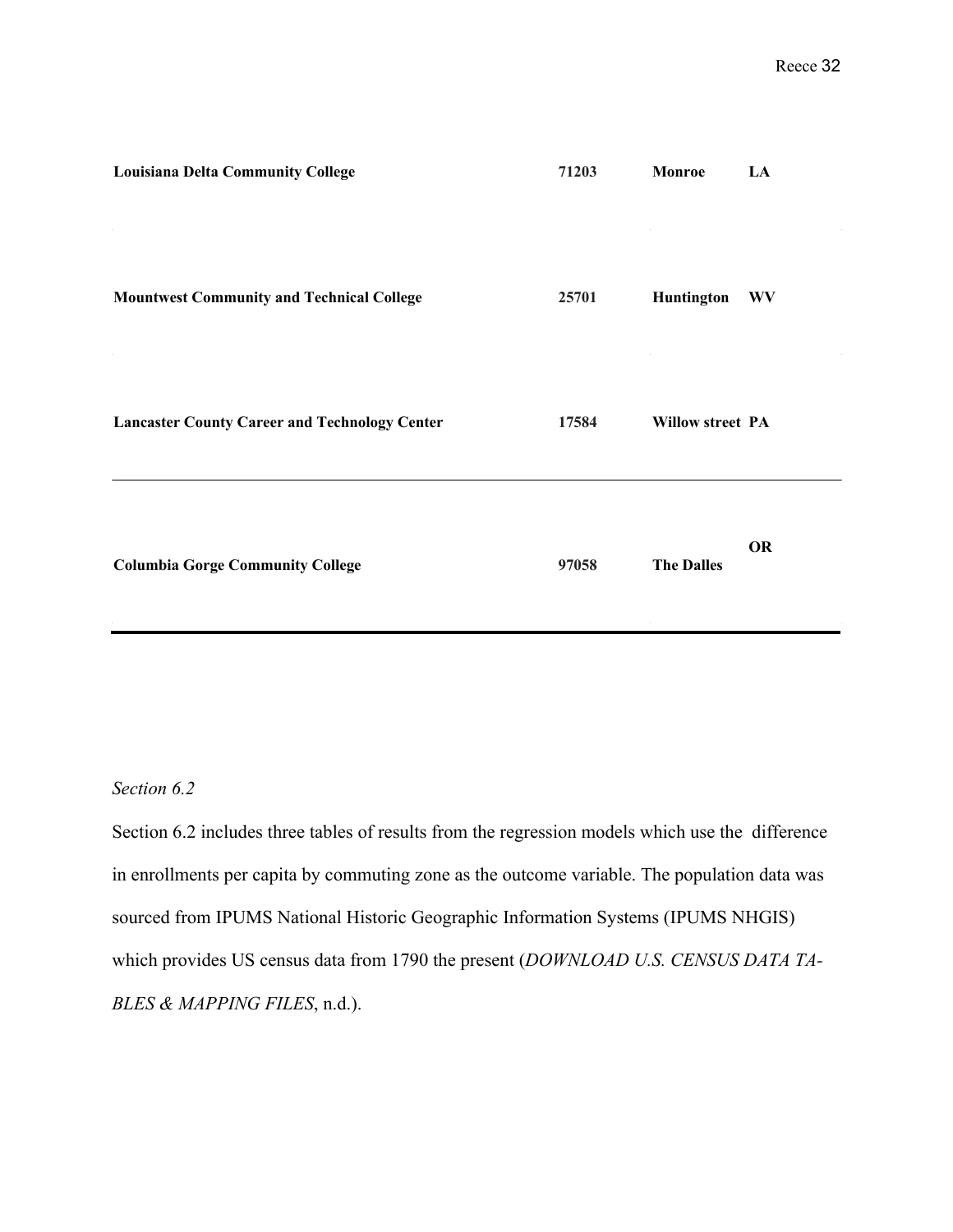| <b>Louisiana Delta Community College</b>             | 71203 | Monroe                  | LA        |
|------------------------------------------------------|-------|-------------------------|-----------|
| <b>Mountwest Community and Technical College</b>     | 25701 | Huntington              | <b>WV</b> |
| <b>Lancaster County Career and Technology Center</b> | 17584 | <b>Willow street PA</b> |           |
| <b>Columbia Gorge Community College</b>              | 97058 | <b>The Dalles</b>       | <b>OR</b> |

### *Section 6.2*

Section 6.2 includes three tables of results from the regression models which use the difference in enrollments per capita by commuting zone as the outcome variable. The population data was sourced from IPUMS National Historic Geographic Information Systems (IPUMS NHGIS) which provides US census data from 1790 the present (*DOWNLOAD U.S. CENSUS DATA TA-BLES & MAPPING FILES*, n.d.).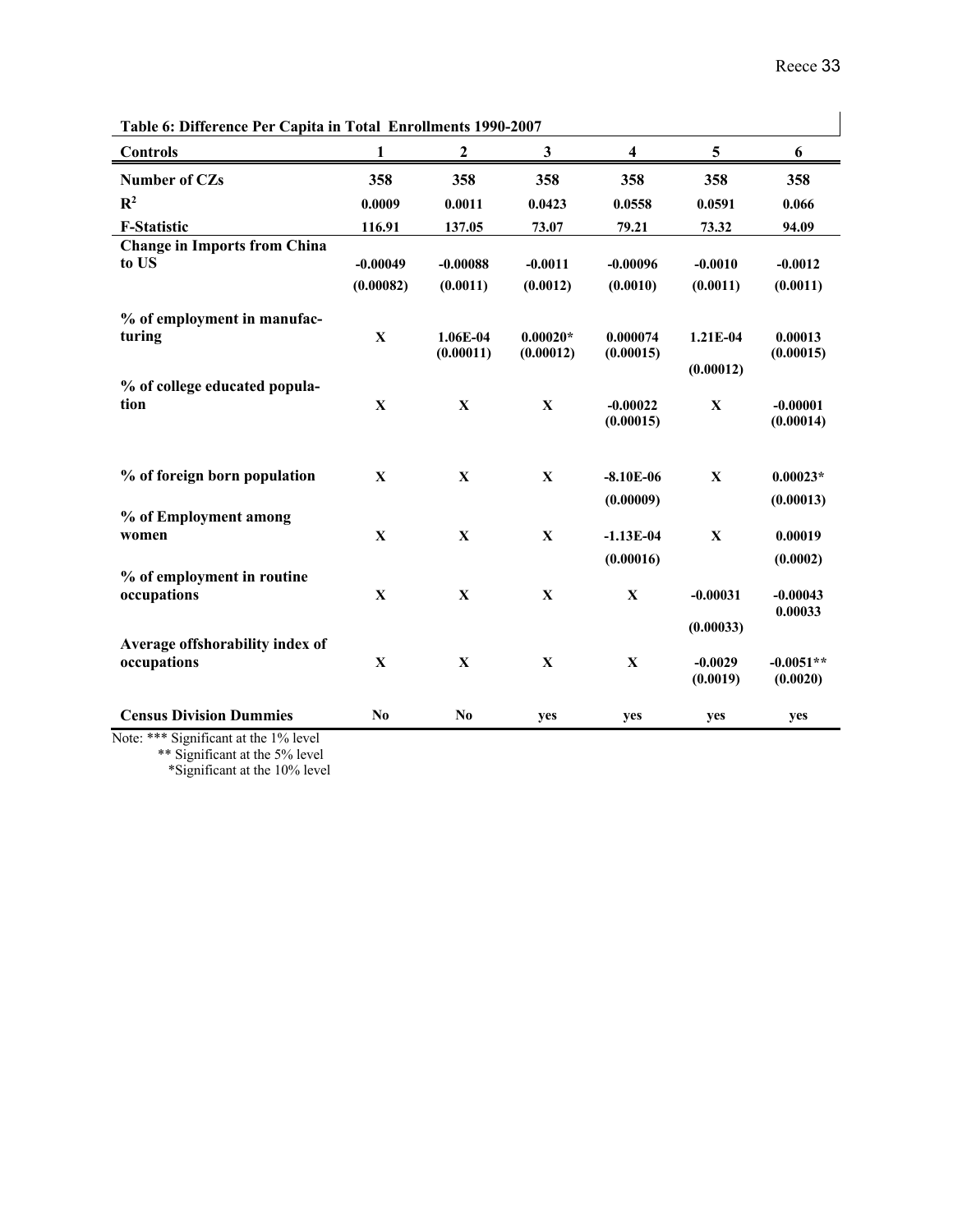| Table 6: Difference Per Capita in Total Enrollments 1990-2007 |              |                  |              |                         |              |             |
|---------------------------------------------------------------|--------------|------------------|--------------|-------------------------|--------------|-------------|
| <b>Controls</b>                                               | 1            | $\boldsymbol{2}$ | $\mathbf{3}$ | $\overline{\mathbf{4}}$ | 5            | 6           |
| Number of CZs                                                 | 358          | 358              | 358          | 358                     | 358          | 358         |
| $\mathbb{R}^2$                                                | 0.0009       | 0.0011           | 0.0423       | 0.0558                  | 0.0591       | 0.066       |
| <b>F-Statistic</b>                                            | 116.91       | 137.05           | 73.07        | 79.21                   | 73.32        | 94.09       |
| <b>Change in Imports from China</b>                           |              |                  |              |                         |              |             |
| to US                                                         | $-0.00049$   | $-0.00088$       | $-0.0011$    | $-0.00096$              | $-0.0010$    | $-0.0012$   |
|                                                               | (0.00082)    | (0.0011)         | (0.0012)     | (0.0010)                | (0.0011)     | (0.0011)    |
| % of employment in manufac-                                   |              |                  |              |                         |              |             |
| turing                                                        | $\mathbf X$  | 1.06E-04         | $0.00020*$   | 0.000074                | 1.21E-04     | 0.00013     |
|                                                               |              | (0.00011)        | (0.00012)    | (0.00015)               |              | (0.00015)   |
| % of college educated popula-                                 |              |                  |              |                         | (0.00012)    |             |
| tion                                                          | $\mathbf X$  | $\mathbf X$      | $\mathbf X$  | $-0.00022$              | $\mathbf X$  | $-0.00001$  |
|                                                               |              |                  |              | (0.00015)               |              | (0.00014)   |
|                                                               |              |                  |              |                         |              |             |
|                                                               |              |                  |              |                         |              |             |
| % of foreign born population                                  | $\mathbf X$  | $\mathbf X$      | $\mathbf{X}$ | $-8.10E-06$             | $\mathbf X$  | $0.00023*$  |
| % of Employment among                                         |              |                  |              | (0.00009)               |              | (0.00013)   |
| women                                                         | $\mathbf{X}$ | $\mathbf X$      | $\mathbf X$  | $-1.13E-04$             | $\mathbf{X}$ | 0.00019     |
|                                                               |              |                  |              | (0.00016)               |              | (0.0002)    |
| % of employment in routine                                    |              |                  |              |                         |              |             |
| occupations                                                   | $\mathbf X$  | $\mathbf X$      | X            | $\mathbf{X}$            | $-0.00031$   | $-0.00043$  |
|                                                               |              |                  |              |                         |              | 0.00033     |
| Average offshorability index of                               |              |                  |              |                         | (0.00033)    |             |
| occupations                                                   | $\mathbf X$  | $\mathbf X$      | $\mathbf X$  | $\mathbf X$             | $-0.0029$    | $-0.0051**$ |
|                                                               |              |                  |              |                         | (0.0019)     | (0.0020)    |
|                                                               |              |                  |              |                         |              |             |
| <b>Census Division Dummies</b>                                | No           | N <sub>0</sub>   | yes          | yes                     | yes          | yes         |

**Table 6: Difference Per Capita in Total Enrollments 1990-2007**

Note: \*\*\* Significant at the 1% level \*\* Significant at the 5% level \*Significant at the 10% level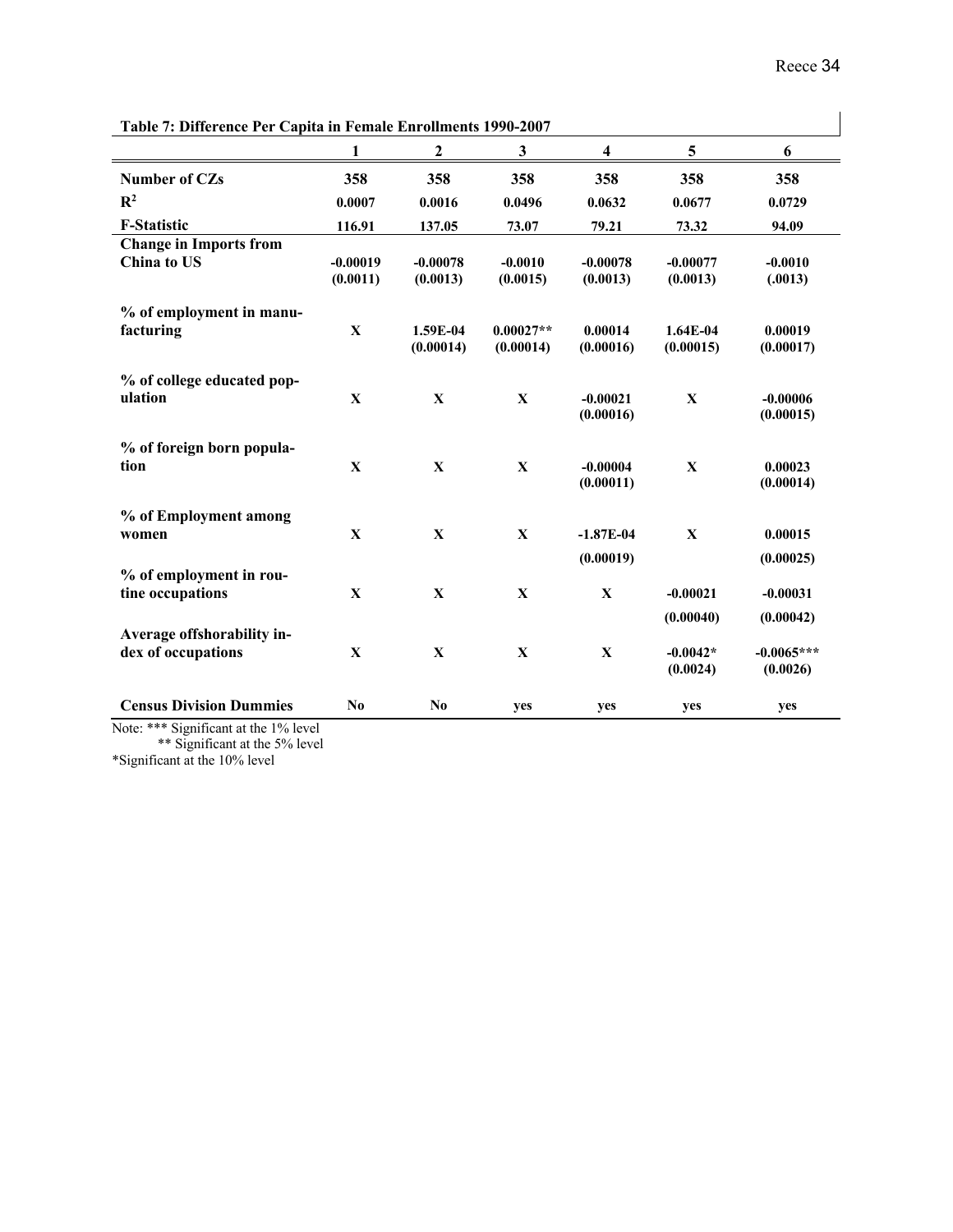| Table 7: Difference Per Capita in Female Enrollments 1990-2007 |                        |                        |                          |                          |                         |                          |
|----------------------------------------------------------------|------------------------|------------------------|--------------------------|--------------------------|-------------------------|--------------------------|
|                                                                | 1                      | $\boldsymbol{2}$       | $\mathbf{3}$             | $\overline{\mathbf{4}}$  | 5                       | 6                        |
| Number of CZs                                                  | 358                    | 358                    | 358                      | 358                      | 358                     | 358                      |
| $\mathbb{R}^2$                                                 | 0.0007                 | 0.0016                 | 0.0496                   | 0.0632                   | 0.0677                  | 0.0729                   |
| <b>F-Statistic</b>                                             | 116.91                 | 137.05                 | 73.07                    | 79.21                    | 73.32                   | 94.09                    |
| <b>Change in Imports from</b><br>China to US                   | $-0.00019$<br>(0.0011) | $-0.00078$<br>(0.0013) | $-0.0010$<br>(0.0015)    | $-0.00078$<br>(0.0013)   | $-0.00077$<br>(0.0013)  | $-0.0010$<br>(.0013)     |
| % of employment in manu-<br>facturing                          | $\mathbf X$            | 1.59E-04<br>(0.00014)  | $0.00027**$<br>(0.00014) | 0.00014<br>(0.00016)     | $1.64E-04$<br>(0.00015) | 0.00019<br>(0.00017)     |
| % of college educated pop-<br>ulation                          | $\mathbf X$            | $\mathbf{X}$           | $\mathbf X$              | $-0.00021$<br>(0.00016)  | $\mathbf X$             | $-0.00006$<br>(0.00015)  |
| % of foreign born popula-<br>tion                              | $\mathbf X$            | $\mathbf X$            | $\mathbf X$              | $-0.00004$<br>(0.00011)  | $\mathbf X$             | 0.00023<br>(0.00014)     |
| % of Employment among<br>women                                 | $\mathbf{X}$           | $\mathbf X$            | $\mathbf X$              | $-1.87E-04$<br>(0.00019) | $\mathbf{X}$            | 0.00015<br>(0.00025)     |
| % of employment in rou-<br>tine occupations                    | $\mathbf X$            | $\mathbf X$            | $\mathbf X$              | $\mathbf X$              | $-0.00021$<br>(0.00040) | $-0.00031$<br>(0.00042)  |
| Average offshorability in-<br>dex of occupations               | $\mathbf X$            | $\mathbf{X}$           | $\mathbf X$              | $\mathbf X$              | $-0.0042*$<br>(0.0024)  | $-0.0065***$<br>(0.0026) |
| <b>Census Division Dummies</b>                                 | N <sub>0</sub>         | N <sub>0</sub>         | yes                      | yes                      | yes                     | yes                      |

**Table 7: Difference Per Capita in Female Enrollments 1990-2007**

Note: \*\*\* Significant at the 1% level \*\* Significant at the 5% level

\*Significant at the 10% level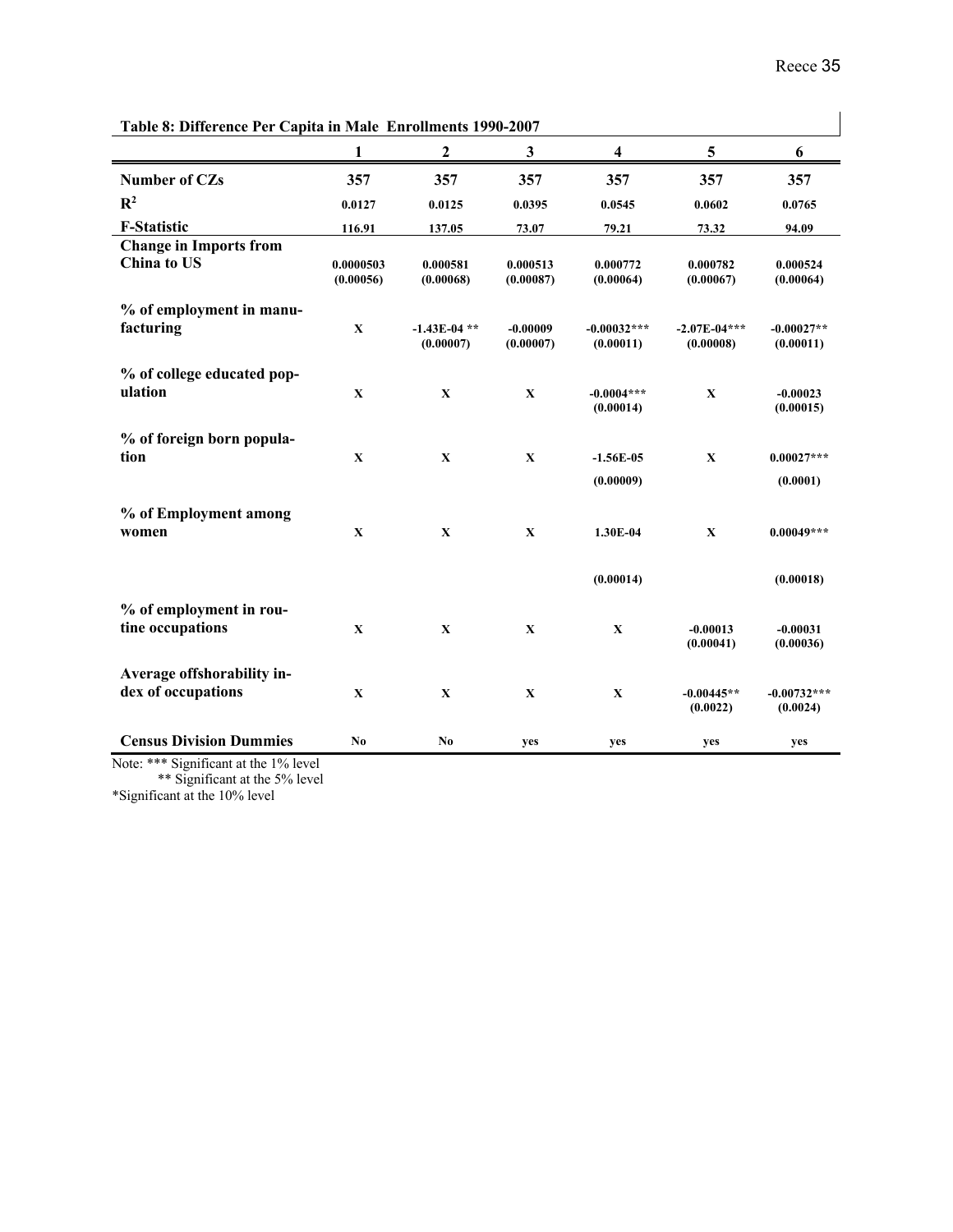| Table 8: Difference Per Capita in Male Enrollments 1990-2007 |                        |                             |                         |                            |                             |                           |
|--------------------------------------------------------------|------------------------|-----------------------------|-------------------------|----------------------------|-----------------------------|---------------------------|
|                                                              | 1                      | $\boldsymbol{2}$            | $\mathbf{3}$            | $\overline{\mathbf{4}}$    | 5                           | 6                         |
| Number of CZs                                                | 357                    | 357                         | 357                     | 357                        | 357                         | 357                       |
| $\mathbf{R}^2$                                               | 0.0127                 | 0.0125                      | 0.0395                  | 0.0545                     | 0.0602                      | 0.0765                    |
| <b>F-Statistic</b>                                           | 116.91                 | 137.05                      | 73.07                   | 79.21                      | 73.32                       | 94.09                     |
| <b>Change in Imports from</b><br>China to US                 | 0.0000503<br>(0.00056) | 0.000581<br>(0.00068)       | 0.000513<br>(0.00087)   | 0.000772<br>(0.00064)      | 0.000782<br>(0.00067)       | 0.000524<br>(0.00064)     |
| % of employment in manu-<br>facturing                        | $\mathbf X$            | $-1.43E-04$ **<br>(0.00007) | $-0.00009$<br>(0.00007) | $-0.00032***$<br>(0.00011) | $-2.07E-04***$<br>(0.00008) | $-0.00027**$<br>(0.00011) |
| % of college educated pop-<br>ulation                        | $\mathbf X$            | X                           | $\mathbf X$             | $-0.0004***$<br>(0.00014)  | $\mathbf{X}$                | $-0.00023$<br>(0.00015)   |
| % of foreign born popula-<br>tion                            | $\mathbf X$            | $\mathbf X$                 | $\mathbf X$             | $-1.56E-05$<br>(0.00009)   | $\mathbf X$                 | $0.00027***$<br>(0.0001)  |
| % of Employment among<br>women                               | $\mathbf X$            | $\mathbf X$                 | $\mathbf X$             | 1.30E-04                   | $\mathbf X$                 | $0.00049***$              |
|                                                              |                        |                             |                         | (0.00014)                  |                             | (0.00018)                 |
| % of employment in rou-<br>tine occupations                  | $\mathbf X$            | $\mathbf X$                 | $\mathbf X$             | $\mathbf X$                | $-0.00013$<br>(0.00041)     | $-0.00031$<br>(0.00036)   |
| Average offshorability in-<br>dex of occupations             | $\mathbf X$            | $\mathbf X$                 | $\mathbf X$             | $\mathbf X$                | $-0.00445**$<br>(0.0022)    | $-0.00732***$<br>(0.0024) |
| <b>Census Division Dummies</b>                               | N <sub>0</sub>         | N <sub>0</sub>              | yes                     | yes                        | yes                         | yes                       |

Note: \*\*\* Significant at the 1% level \*\* Significant at the 5% level

\*Significant at the 10% level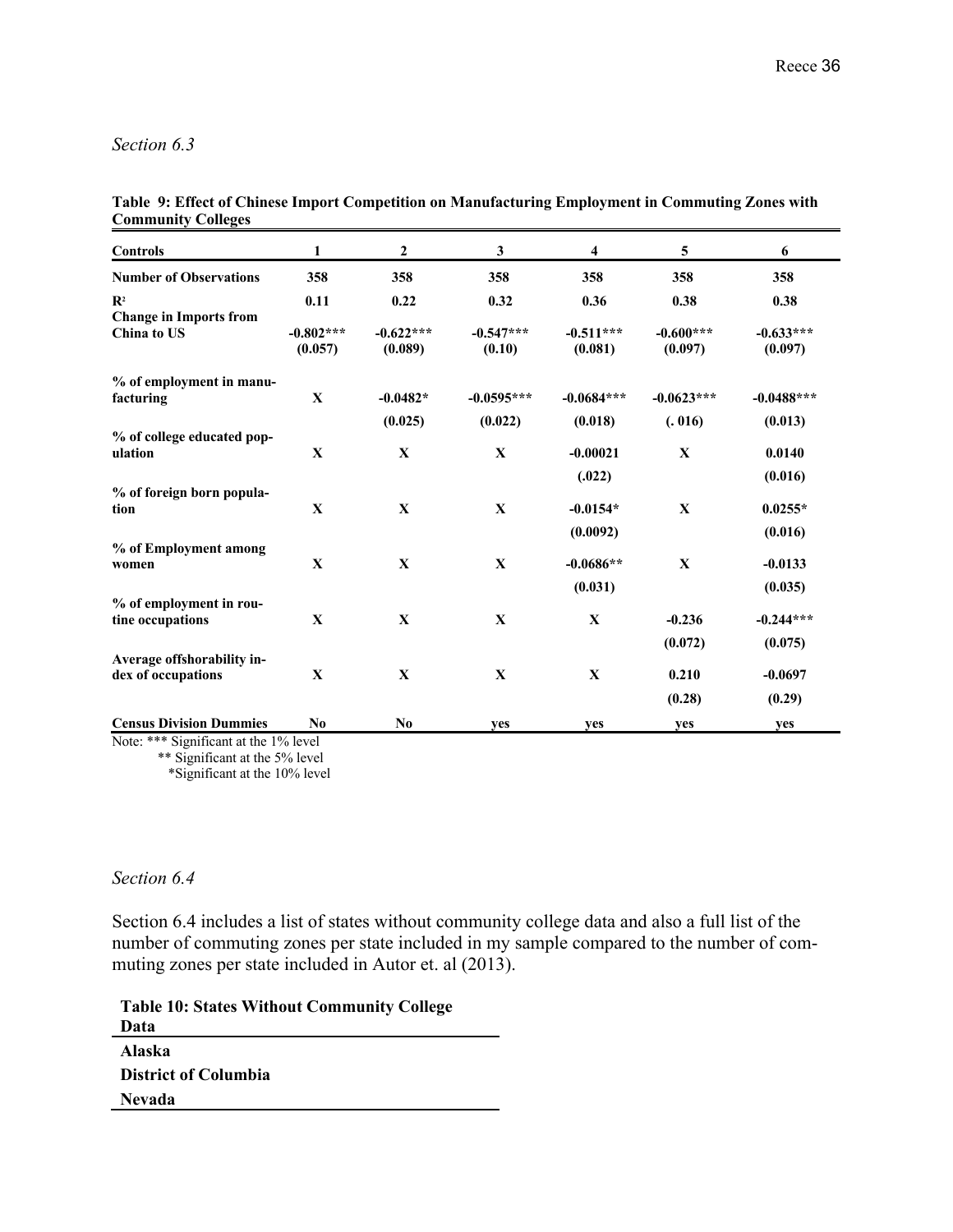#### *Section 6.3*

**Table 9: Effect of Chinese Import Competition on Manufacturing Employment in Commuting Zones with Community Colleges**

| <b>Controls</b>                                 | $\mathbf{1}$           | $\mathbf{2}$           | 3                     | 4                      | 5                      | 6                      |
|-------------------------------------------------|------------------------|------------------------|-----------------------|------------------------|------------------------|------------------------|
| <b>Number of Observations</b>                   | 358                    | 358                    | 358                   | 358                    | 358                    | 358                    |
| $\mathbf{R}^2$<br><b>Change in Imports from</b> | 0.11                   | 0.22                   | 0.32                  | 0.36                   | 0.38                   | 0.38                   |
| <b>China to US</b>                              | $-0.802***$<br>(0.057) | $-0.622***$<br>(0.089) | $-0.547***$<br>(0.10) | $-0.511***$<br>(0.081) | $-0.600***$<br>(0.097) | $-0.633***$<br>(0.097) |
| % of employment in manu-                        |                        |                        |                       |                        |                        |                        |
| facturing                                       | $\mathbf{X}$           | $-0.0482*$             | $-0.0595***$          | $-0.0684***$           | $-0.0623***$           | $-0.0488***$           |
| % of college educated pop-                      |                        | (0.025)                | (0.022)               | (0.018)                | (.016)                 | (0.013)                |
| ulation                                         | $\mathbf{X}$           | $\mathbf{X}$           | $\mathbf{X}$          | $-0.00021$             | $\mathbf{X}$           | 0.0140                 |
|                                                 |                        |                        |                       | (.022)                 |                        | (0.016)                |
| % of foreign born popula-<br>tion               | $\mathbf X$            | $\mathbf X$            | $\mathbf{X}$          | $-0.0154*$             | $\mathbf{X}$           | $0.0255*$              |
|                                                 |                        |                        |                       | (0.0092)               |                        | (0.016)                |
| % of Employment among                           |                        |                        |                       |                        |                        |                        |
| women                                           | $\mathbf{X}$           | $\mathbf X$            | $\mathbf{X}$          | $-0.0686**$            | $\mathbf{x}$           | $-0.0133$              |
|                                                 |                        |                        |                       | (0.031)                |                        | (0.035)                |
| % of employment in rou-<br>tine occupations     | $\mathbf{X}$           | $\mathbf X$            | $\mathbf X$           | $\mathbf X$            | $-0.236$               | $-0.244***$            |
|                                                 |                        |                        |                       |                        | (0.072)                | (0.075)                |
| Average offshorability in-                      |                        |                        |                       |                        |                        |                        |
| dex of occupations                              | $\mathbf X$            | $\mathbf X$            | $\mathbf X$           | $\mathbf X$            | 0.210                  | $-0.0697$              |
|                                                 |                        |                        |                       |                        | (0.28)                 | (0.29)                 |
| <b>Census Division Dummies</b>                  | N <sub>0</sub>         | N <sub>0</sub>         | yes                   | yes                    | yes                    | yes                    |

Note: \*\*\* Significant at the 1% level

\*\* Significant at the 5% level

#### *Section 6.4*

Section 6.4 includes a list of states without community college data and also a full list of the number of commuting zones per state included in my sample compared to the number of commuting zones per state included in Autor et. al (2013).

**Table 10: States Without Community College Data Alaska District of Columbia Nevada**

 <sup>\*</sup>Significant at the 10% level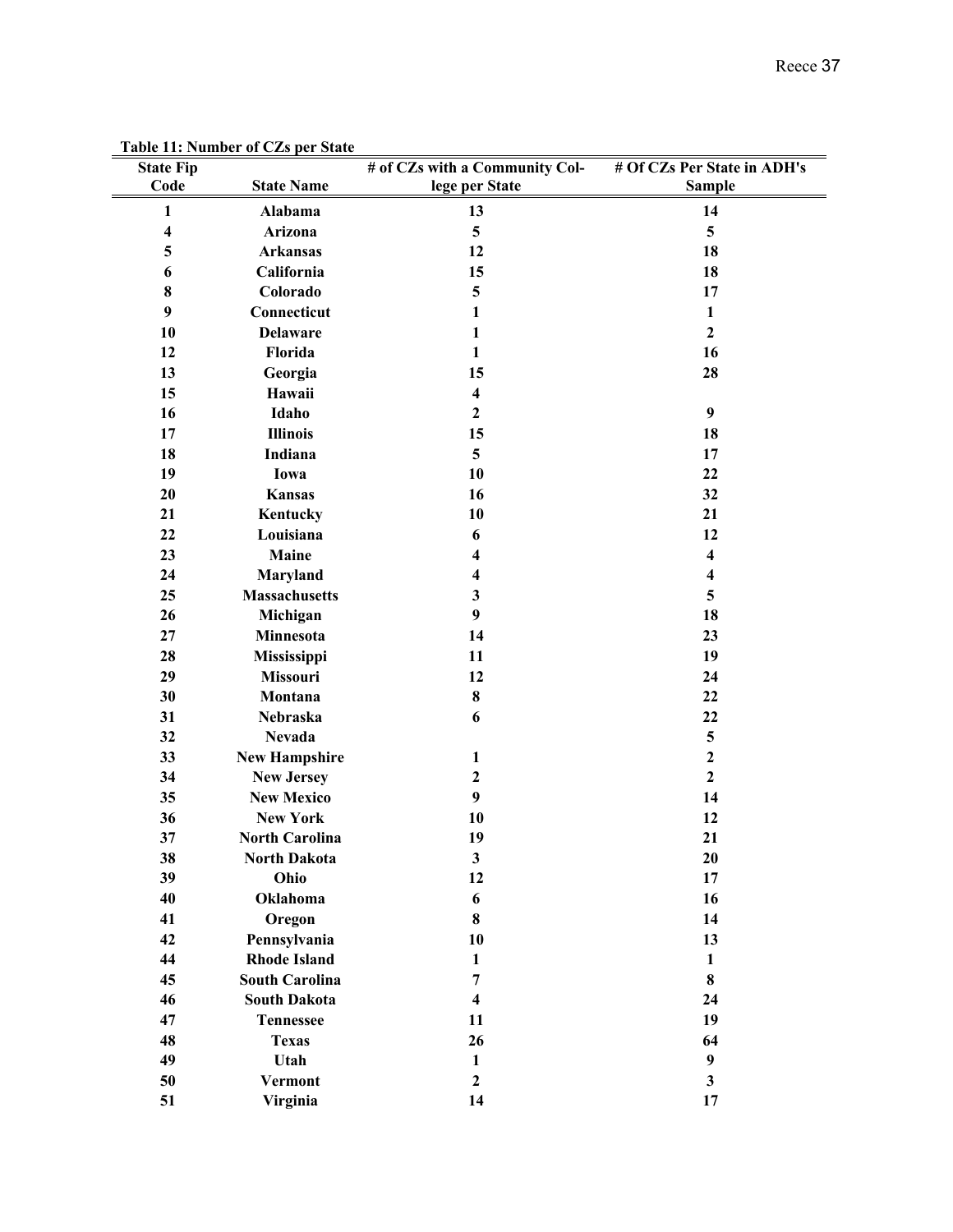| <b>State Fip</b><br>Code | rabic 11. Number of CEs per State<br><b>State Name</b> | # of CZs with a Community Col-<br>lege per State | # Of CZs Per State in ADH's<br><b>Sample</b> |
|--------------------------|--------------------------------------------------------|--------------------------------------------------|----------------------------------------------|
| $\mathbf{1}$             | Alabama                                                | 13                                               | 14                                           |
| $\overline{\mathbf{4}}$  | Arizona                                                | $\overline{\mathbf{5}}$                          | 5                                            |
| $\overline{\mathbf{5}}$  | <b>Arkansas</b>                                        | 12                                               | 18                                           |
| 6                        | California                                             | 15                                               | 18                                           |
| 8                        | Colorado                                               | 5                                                | 17                                           |
| 9                        | Connecticut                                            | $\mathbf{1}$                                     | $\mathbf{1}$                                 |
| 10                       | <b>Delaware</b>                                        | 1                                                | $\overline{2}$                               |
| 12                       | Florida                                                | 1                                                | 16                                           |
| 13                       | Georgia                                                | 15                                               | 28                                           |
| 15                       | Hawaii                                                 | $\overline{\mathbf{4}}$                          |                                              |
| 16                       | Idaho                                                  | $\mathbf{2}$                                     | $\boldsymbol{9}$                             |
| 17                       | <b>Illinois</b>                                        | 15                                               | 18                                           |
| 18                       | Indiana                                                | 5                                                | 17                                           |
| 19                       | Iowa                                                   | 10                                               | 22                                           |
| 20                       | Kansas                                                 | 16                                               | 32                                           |
| 21                       | Kentucky                                               | 10                                               | 21                                           |
| 22                       | Louisiana                                              | 6                                                | 12                                           |
| 23                       | Maine                                                  | 4                                                | $\overline{\mathbf{4}}$                      |
| 24                       | Maryland                                               | 4                                                | $\overline{\mathbf{4}}$                      |
| 25                       | <b>Massachusetts</b>                                   | 3                                                | 5                                            |
| 26                       | Michigan                                               | 9                                                | 18                                           |
| 27<br>28                 | Minnesota                                              | 14<br>11                                         | 23<br>19                                     |
| 29                       | Mississippi<br>Missouri                                | 12                                               |                                              |
| 30                       | Montana                                                | 8                                                | 24<br>22                                     |
| 31                       | Nebraska                                               | 6                                                | 22                                           |
| 32                       | <b>Nevada</b>                                          |                                                  | $\overline{\mathbf{5}}$                      |
| 33                       | <b>New Hampshire</b>                                   | 1                                                | $\overline{2}$                               |
| 34                       | <b>New Jersey</b>                                      | $\mathbf{2}$                                     | $\overline{2}$                               |
| 35                       | <b>New Mexico</b>                                      | 9                                                | 14                                           |
| 36                       | <b>New York</b>                                        | 10                                               | 12                                           |
| 37                       | <b>North Carolina</b>                                  | 19                                               | 21                                           |
| 38                       | <b>North Dakota</b>                                    | $\mathbf{3}$                                     | 20                                           |
| 39                       | Ohio                                                   | 12                                               | 17                                           |
| 40                       | Oklahoma                                               | 6                                                | 16                                           |
| 41                       | Oregon                                                 | 8                                                | 14                                           |
| 42                       | Pennsylvania                                           | 10                                               | 13                                           |
| 44                       | <b>Rhode Island</b>                                    | $\mathbf{1}$                                     | $\mathbf{1}$                                 |
| 45                       | <b>South Carolina</b>                                  | 7                                                | 8                                            |
| 46                       | <b>South Dakota</b>                                    | $\overline{\mathbf{4}}$                          | 24                                           |
| 47                       | <b>Tennessee</b>                                       | 11                                               | 19                                           |
| 48                       | <b>Texas</b>                                           | 26                                               | 64                                           |
| 49                       | Utah                                                   | $\mathbf{1}$                                     | $\boldsymbol{9}$                             |
| 50                       | Vermont                                                | $\mathbf{2}$                                     | 3                                            |
| 51                       | Virginia                                               | 14                                               | 17                                           |

**Table 11: Number of CZs per State**